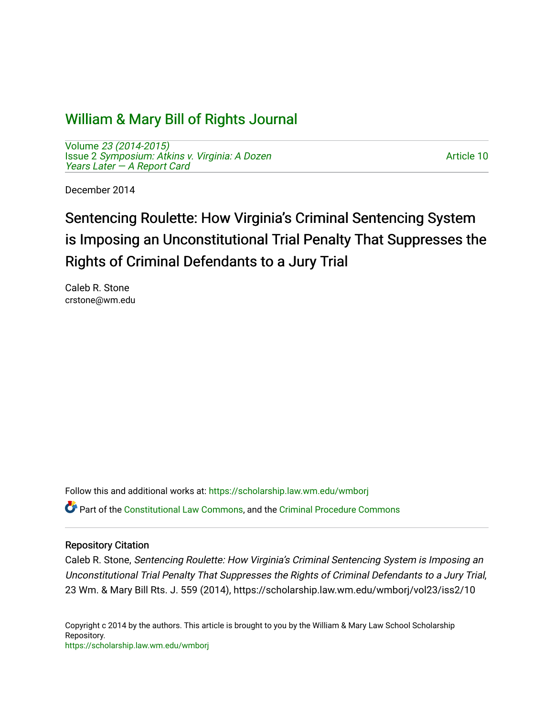## [William & Mary Bill of Rights Journal](https://scholarship.law.wm.edu/wmborj)

Volume [23 \(2014-2015\)](https://scholarship.law.wm.edu/wmborj/vol23)  Issue 2 [Symposium: Atkins v. Virginia: A Dozen](https://scholarship.law.wm.edu/wmborj/vol23/iss2)  [Years Later — A Report Card](https://scholarship.law.wm.edu/wmborj/vol23/iss2)

[Article 10](https://scholarship.law.wm.edu/wmborj/vol23/iss2/10) 

December 2014

# Sentencing Roulette: How Virginia's Criminal Sentencing System is Imposing an Unconstitutional Trial Penalty That Suppresses the Rights of Criminal Defendants to a Jury Trial

Caleb R. Stone crstone@wm.edu

Follow this and additional works at: [https://scholarship.law.wm.edu/wmborj](https://scholarship.law.wm.edu/wmborj?utm_source=scholarship.law.wm.edu%2Fwmborj%2Fvol23%2Fiss2%2F10&utm_medium=PDF&utm_campaign=PDFCoverPages) 

Part of the [Constitutional Law Commons,](http://network.bepress.com/hgg/discipline/589?utm_source=scholarship.law.wm.edu%2Fwmborj%2Fvol23%2Fiss2%2F10&utm_medium=PDF&utm_campaign=PDFCoverPages) and the [Criminal Procedure Commons](http://network.bepress.com/hgg/discipline/1073?utm_source=scholarship.law.wm.edu%2Fwmborj%2Fvol23%2Fiss2%2F10&utm_medium=PDF&utm_campaign=PDFCoverPages)

## Repository Citation

Caleb R. Stone, Sentencing Roulette: How Virginia's Criminal Sentencing System is Imposing an Unconstitutional Trial Penalty That Suppresses the Rights of Criminal Defendants to a Jury Trial, 23 Wm. & Mary Bill Rts. J. 559 (2014), https://scholarship.law.wm.edu/wmborj/vol23/iss2/10

Copyright c 2014 by the authors. This article is brought to you by the William & Mary Law School Scholarship Repository. <https://scholarship.law.wm.edu/wmborj>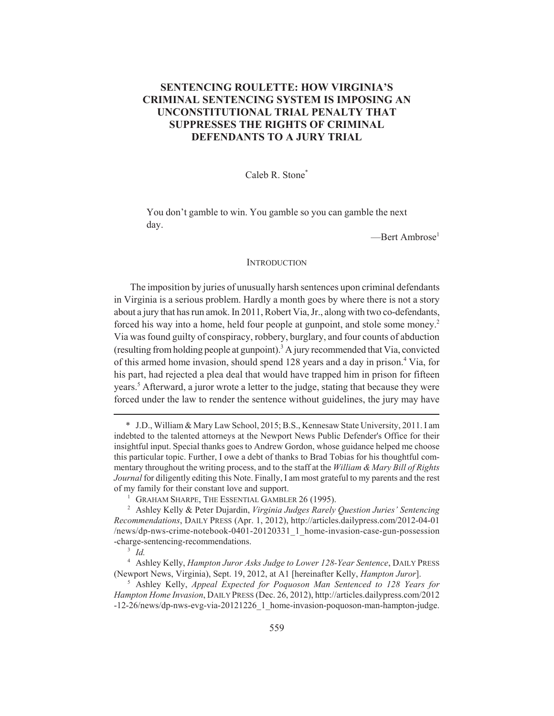## **SENTENCING ROULETTE: HOW VIRGINIA'S CRIMINAL SENTENCING SYSTEM IS IMPOSING AN UNCONSTITUTIONAL TRIAL PENALTY THAT SUPPRESSES THE RIGHTS OF CRIMINAL DEFENDANTS TO A JURY TRIAL**

### Caleb R. Stone\*

You don't gamble to win. You gamble so you can gamble the next day.

-Bert Ambrose<sup>1</sup>

#### **INTRODUCTION**

The imposition by juries of unusually harsh sentences upon criminal defendants in Virginia is a serious problem. Hardly a month goes by where there is not a story about a jury that has run amok. In 2011, Robert Via, Jr., along with two co-defendants, forced his way into a home, held four people at gunpoint, and stole some money.<sup>2</sup> Via was found guilty of conspiracy, robbery, burglary, and four counts of abduction (resulting from holding people at gunpoint).<sup>3</sup> A jury recommended that Via, convicted of this armed home invasion, should spend 128 years and a day in prison.<sup>4</sup> Via, for his part, had rejected a plea deal that would have trapped him in prison for fifteen years.<sup>5</sup> Afterward, a juror wrote a letter to the judge, stating that because they were forced under the law to render the sentence without guidelines, the jury may have

<sup>\*</sup> J.D., William & Mary Law School, 2015; B.S., Kennesaw State University, 2011. I am indebted to the talented attorneys at the Newport News Public Defender's Office for their insightful input. Special thanks goes to Andrew Gordon, whose guidance helped me choose this particular topic. Further, I owe a debt of thanks to Brad Tobias for his thoughtful commentary throughout the writing process, and to the staff at the *William & Mary Bill of Rights Journal* for diligently editing this Note. Finally, I am most grateful to my parents and the rest of my family for their constant love and support.

<sup>&</sup>lt;sup>1</sup> GRAHAM SHARPE, THE ESSENTIAL GAMBLER 26 (1995).

<sup>2</sup> Ashley Kelly & Peter Dujardin, *Virginia Judges Rarely Question Juries' Sentencing Recommendations*, DAILY PRESS (Apr. 1, 2012), http://articles.dailypress.com/2012-04-01 /news/dp-nws-crime-notebook-0401-20120331\_1\_home-invasion-case-gun-possession -charge-sentencing-recommendations.

<sup>3</sup> *Id.*

<sup>4</sup> Ashley Kelly, *Hampton Juror Asks Judge to Lower 128-Year Sentence*, DAILY PRESS (Newport News, Virginia), Sept. 19, 2012, at A1 [hereinafter Kelly, *Hampton Juror*].

<sup>5</sup> Ashley Kelly, *Appeal Expected for Poquoson Man Sentenced to 128 Years for Hampton Home Invasion*, DAILY PRESS (Dec. 26, 2012), http://articles.dailypress.com/2012 -12-26/news/dp-nws-evg-via-20121226\_1\_home-invasion-poquoson-man-hampton-judge.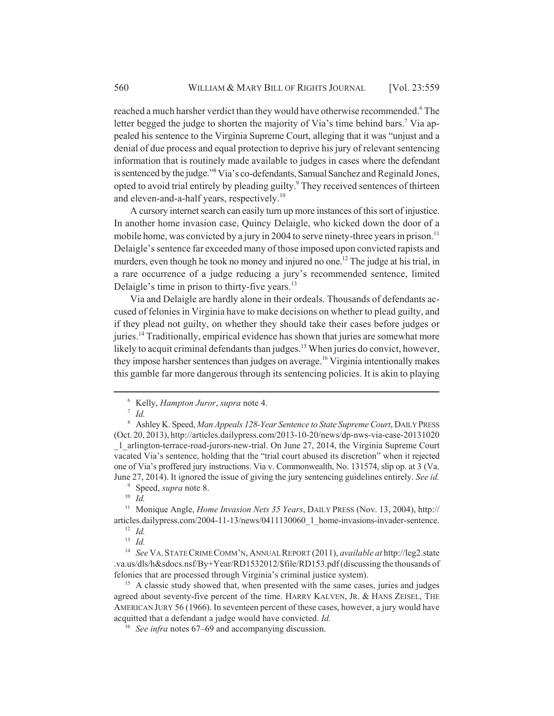reached a much harsher verdict than they would have otherwise recommended.<sup>6</sup> The letter begged the judge to shorten the majority of Via's time behind bars.<sup>7</sup> Via appealed his sentence to the Virginia Supreme Court, alleging that it was "unjust and a denial of due process and equal protection to deprive his jury of relevant sentencing information that is routinely made available to judges in cases where the defendant is sentenced by the judge."<sup>8</sup> Via's co-defendants, Samual Sanchez and Reginald Jones, opted to avoid trial entirely by pleading guilty.<sup>9</sup> They received sentences of thirteen and eleven-and-a-half years, respectively.<sup>10</sup>

A cursory internet search can easily turn up more instances of this sort of injustice. In another home invasion case, Quincy Delaigle, who kicked down the door of a mobile home, was convicted by a jury in 2004 to serve ninety-three years in prison.<sup>11</sup> Delaigle's sentence far exceeded many of those imposed upon convicted rapists and murders, even though he took no money and injured no one.<sup>12</sup> The judge at his trial, in a rare occurrence of a judge reducing a jury's recommended sentence, limited Delaigle's time in prison to thirty-five years.<sup>13</sup>

Via and Delaigle are hardly alone in their ordeals. Thousands of defendants accused of felonies in Virginia have to make decisions on whether to plead guilty, and if they plead not guilty, on whether they should take their cases before judges or juries.14 Traditionally, empirical evidence has shown that juries are somewhat more likely to acquit criminal defendants than judges.<sup>15</sup> When juries do convict, however, they impose harsher sentences than judges on average.<sup>16</sup> Virginia intentionally makes this gamble far more dangerous through its sentencing policies. It is akin to playing

<sup>9</sup> Speed, *supra* note 8. <sup>10</sup> *Id.*

<sup>13</sup> *Id.*

<sup>6</sup> Kelly, *Hampton Juror*, *supra* note 4.

<sup>7</sup> *Id.*

<sup>8</sup> Ashley K. Speed, *Man Appeals 128-Year Sentence to State Supreme Court*, DAILY PRESS (Oct. 20, 2013), http://articles.dailypress.com/2013-10-20/news/dp-nws-via-case-20131020 \_1\_arlington-terrace-road-jurors-new-trial. On June 27, 2014, the Virginia Supreme Court vacated Via's sentence, holding that the "trial court abused its discretion" when it rejected one of Via's proffered jury instructions. Via v. Commonwealth, No. 131574, slip op. at 3 (Va. June 27, 2014). It ignored the issue of giving the jury sentencing guidelines entirely. *See id.*

<sup>11</sup> Monique Angle, *Home Invasion Nets 35 Years*, DAILY PRESS (Nov. 13, 2004), http:// articles.dailypress.com/2004-11-13/news/0411130060\_1\_home-invasions-invader-sentence. <sup>12</sup> *Id.*

<sup>14</sup> *See* VA.STATE CRIME COMM'N, ANNUAL REPORT (2011), *available at* http://leg2.state .va.us/dls/h&sdocs.nsf/By+Year/RD1532012/\$file/RD153.pdf (discussing the thousands of felonies that are processed through Virginia's criminal justice system).

<sup>&</sup>lt;sup>15</sup> A classic study showed that, when presented with the same cases, juries and judges agreed about seventy-five percent of the time. HARRY KALVEN, JR. & HANS ZEISEL, THE AMERICAN JURY 56 (1966). In seventeen percent of these cases, however, a jury would have acquitted that a defendant a judge would have convicted. *Id.*

<sup>16</sup> *See infra* notes 67–69 and accompanying discussion.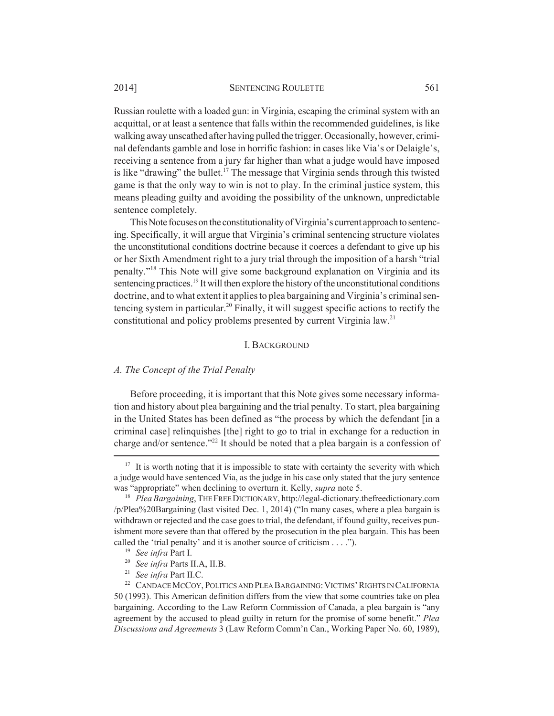Russian roulette with a loaded gun: in Virginia, escaping the criminal system with an acquittal, or at least a sentence that falls within the recommended guidelines, is like walking away unscathed after having pulled the trigger. Occasionally, however, criminal defendants gamble and lose in horrific fashion: in cases like Via's or Delaigle's, receiving a sentence from a jury far higher than what a judge would have imposed is like "drawing" the bullet.<sup>17</sup> The message that Virginia sends through this twisted game is that the only way to win is not to play. In the criminal justice system, this means pleading guilty and avoiding the possibility of the unknown, unpredictable sentence completely.

This Note focuses on the constitutionality of Virginia's current approach to sentencing. Specifically, it will argue that Virginia's criminal sentencing structure violates the unconstitutional conditions doctrine because it coerces a defendant to give up his or her Sixth Amendment right to a jury trial through the imposition of a harsh "trial penalty."18 This Note will give some background explanation on Virginia and its sentencing practices.<sup>19</sup> It will then explore the history of the unconstitutional conditions doctrine, and to what extent it applies to plea bargaining and Virginia's criminal sentencing system in particular.20 Finally, it will suggest specific actions to rectify the constitutional and policy problems presented by current Virginia law.21

### I. BACKGROUND

## *A. The Concept of the Trial Penalty*

Before proceeding, it is important that this Note gives some necessary information and history about plea bargaining and the trial penalty. To start, plea bargaining in the United States has been defined as "the process by which the defendant [in a criminal case] relinquishes [the] right to go to trial in exchange for a reduction in charge and/or sentence."22 It should be noted that a plea bargain is a confession of

<sup>&</sup>lt;sup>17</sup> It is worth noting that it is impossible to state with certainty the severity with which a judge would have sentenced Via, as the judge in his case only stated that the jury sentence was "appropriate" when declining to overturn it. Kelly, *supra* note 5.

<sup>&</sup>lt;sup>18</sup> *Plea Bargaining*, THE FREE DICTIONARY, http://legal-dictionary.thefreedictionary.com /p/Plea%20Bargaining (last visited Dec. 1, 2014) ("In many cases, where a plea bargain is withdrawn or rejected and the case goes to trial, the defendant, if found guilty, receives punishment more severe than that offered by the prosecution in the plea bargain. This has been called the 'trial penalty' and it is another source of criticism . . . .").

<sup>19</sup> *See infra* Part I.

<sup>20</sup> *See infra* Parts II.A, II.B.

<sup>21</sup> *See infra* Part II.C.

<sup>&</sup>lt;sup>22</sup> CANDACE MCCOY, POLITICS AND PLEA BARGAINING: VICTIMS' RIGHTS IN CALIFORNIA 50 (1993). This American definition differs from the view that some countries take on plea bargaining. According to the Law Reform Commission of Canada, a plea bargain is "any agreement by the accused to plead guilty in return for the promise of some benefit." *Plea Discussions and Agreements* 3 (Law Reform Comm'n Can., Working Paper No. 60, 1989),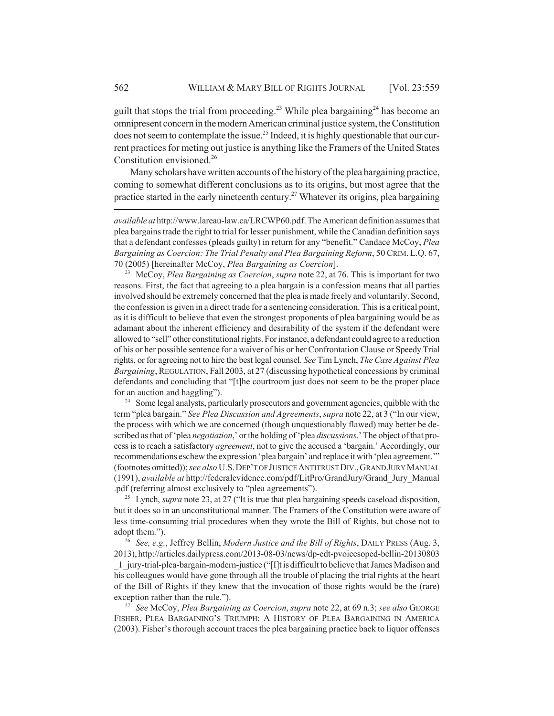guilt that stops the trial from proceeding.<sup>23</sup> While plea bargaining<sup>24</sup> has become an omnipresent concern in the modern American criminal justice system, the Constitution does not seem to contemplate the issue.<sup>25</sup> Indeed, it is highly questionable that our current practices for meting out justice is anything like the Framers of the United States Constitution envisioned.<sup>26</sup>

Many scholars have written accounts of the history of the plea bargaining practice, coming to somewhat different conclusions as to its origins, but most agree that the practice started in the early nineteenth century.<sup>27</sup> Whatever its origins, plea bargaining

<sup>23</sup> McCoy, *Plea Bargaining as Coercion*, *supra* note 22, at 76. This is important for two reasons. First, the fact that agreeing to a plea bargain is a confession means that all parties involved should be extremely concerned that the plea is made freely and voluntarily. Second, the confession is given in a direct trade for a sentencing consideration. This is a critical point, as it is difficult to believe that even the strongest proponents of plea bargaining would be as adamant about the inherent efficiency and desirability of the system if the defendant were allowed to "sell" other constitutional rights. For instance, a defendant could agree to a reduction of his or her possible sentence for a waiver of his or her Confrontation Clause or Speedy Trial rights, or for agreeing not to hire the best legal counsel. *See* Tim Lynch, *The Case Against Plea Bargaining*, REGULATION, Fall 2003, at 27 (discussing hypothetical concessions by criminal defendants and concluding that "[t]he courtroom just does not seem to be the proper place for an auction and haggling").

<sup>24</sup> Some legal analysts, particularly prosecutors and government agencies, quibble with the term "plea bargain." *See Plea Discussion and Agreements*, *supra* note 22, at 3 ("In our view, the process with which we are concerned (though unquestionably flawed) may better be described as that of 'plea *negotiation*,' or the holding of 'plea *discussions*.' The object of that process is to reach a satisfactory *agreement*, not to give the accused a 'bargain.' Accordingly, our recommendations eschew the expression 'plea bargain' and replace it with 'plea agreement.'" (footnotes omitted)); *see also* U.S.DEP'T OF JUSTICE ANTITRUST DIV.,GRAND JURY MANUAL (1991), *available at* http://federalevidence.com/pdf/LitPro/GrandJury/Grand\_Jury\_Manual .pdf (referring almost exclusively to "plea agreements").

<sup>25</sup> Lynch, *supra* note 23, at 27 ("It is true that plea bargaining speeds caseload disposition, but it does so in an unconstitutional manner. The Framers of the Constitution were aware of less time-consuming trial procedures when they wrote the Bill of Rights, but chose not to adopt them.").

<sup>26</sup> *See, e.g.*, Jeffrey Bellin, *Modern Justice and the Bill of Rights*, DAILY PRESS (Aug. 3, 2013), http://articles.dailypress.com/2013-08-03/news/dp-edt-pvoicesoped-bellin-20130803 \_1\_jury-trial-plea-bargain-modern-justice ("[I]t is difficult to believe that James Madison and his colleagues would have gone through all the trouble of placing the trial rights at the heart of the Bill of Rights if they knew that the invocation of those rights would be the (rare) exception rather than the rule.").

<sup>27</sup> *See* McCoy, *Plea Bargaining as Coercion*, *supra* note 22, at 69 n.3; *see also* GEORGE FISHER, PLEA BARGAINING'S TRIUMPH: A HISTORY OF PLEA BARGAINING IN AMERICA (2003). Fisher's thorough account traces the plea bargaining practice back to liquor offenses

*available at* http://www.lareau-law.ca/LRCWP60.pdf. The American definition assumes that plea bargains trade the right to trial for lesser punishment, while the Canadian definition says that a defendant confesses (pleads guilty) in return for any "benefit." Candace McCoy, *Plea Bargaining as Coercion: The Trial Penalty and Plea Bargaining Reform*, 50 CRIM.L.Q. 67, 70 (2005) [hereinafter McCoy, *Plea Bargaining as Coercion*].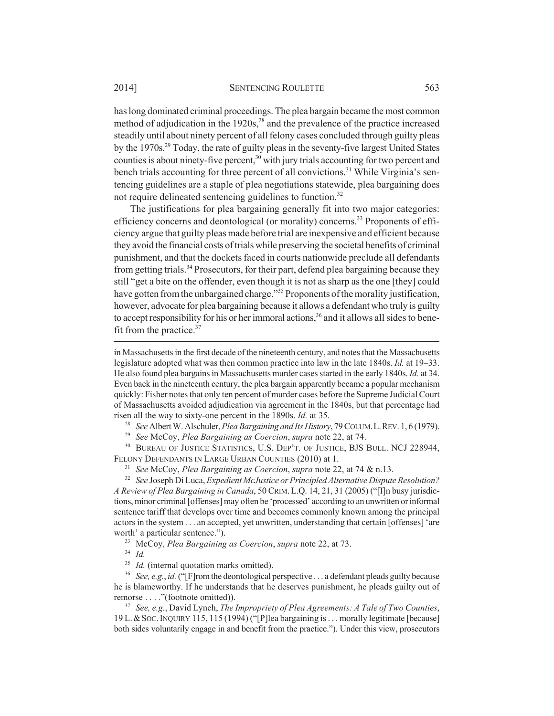has long dominated criminal proceedings. The plea bargain became the most common method of adjudication in the  $1920s<sub>1</sub><sup>28</sup>$  and the prevalence of the practice increased steadily until about ninety percent of all felony cases concluded through guilty pleas by the 1970s.29 Today, the rate of guilty pleas in the seventy-five largest United States counties is about ninety-five percent,<sup>30</sup> with jury trials accounting for two percent and bench trials accounting for three percent of all convictions.<sup>31</sup> While Virginia's sentencing guidelines are a staple of plea negotiations statewide, plea bargaining does not require delineated sentencing guidelines to function.<sup>32</sup>

The justifications for plea bargaining generally fit into two major categories: efficiency concerns and deontological (or morality) concerns.<sup>33</sup> Proponents of efficiency argue that guilty pleas made before trial are inexpensive and efficient because they avoid the financial costs of trials while preserving the societal benefits of criminal punishment, and that the dockets faced in courts nationwide preclude all defendants from getting trials.<sup>34</sup> Prosecutors, for their part, defend plea bargaining because they still "get a bite on the offender, even though it is not as sharp as the one [they] could have gotten from the unbargained charge."<sup>35</sup> Proponents of the morality justification, however, advocate for plea bargaining because it allows a defendant who truly is guilty to accept responsibility for his or her immoral actions,  $36$  and it allows all sides to benefit from the practice.37

in Massachusetts in the first decade of the nineteenth century, and notes that the Massachusetts legislature adopted what was then common practice into law in the late 1840s. *Id.* at 19–33. He also found plea bargains in Massachusetts murder cases started in the early 1840s. *Id.* at 34. Even back in the nineteenth century, the plea bargain apparently became a popular mechanism quickly: Fisher notes that only ten percent of murder cases before the Supreme Judicial Court of Massachusetts avoided adjudication via agreement in the 1840s, but that percentage had risen all the way to sixty-one percent in the 1890s. *Id.* at 35.

<sup>28</sup> *See* Albert W. Alschuler, *Plea Bargaining and Its History*, 79 COLUM.L.REV. 1, 6 (1979).

<sup>29</sup> *See* McCoy, *Plea Bargaining as Coercion*, *supra* note 22, at 74.

<sup>30</sup> BUREAU OF JUSTICE STATISTICS, U.S. DEP'T. OF JUSTICE, BJS BULL. NCJ 228944, FELONY DEFENDANTS IN LARGE URBAN COUNTIES (2010) at 1.

<sup>31</sup> *See* McCoy, *Plea Bargaining as Coercion*, *supra* note 22, at 74 & n.13.

<sup>32</sup> *See* Joseph Di Luca, *Expedient McJustice or Principled Alternative Dispute Resolution? A Review of Plea Bargaining in Canada*, 50 CRIM.L.Q. 14, 21, 31 (2005) ("[I]n busy jurisdictions, minor criminal [offenses] may often be 'processed' according to an unwritten or informal sentence tariff that develops over time and becomes commonly known among the principal actors in the system . . . an accepted, yet unwritten, understanding that certain [offenses] 'are worth' a particular sentence.").

<sup>33</sup> McCoy, *Plea Bargaining as Coercion*, *supra* note 22, at 73.

<sup>34</sup> *Id.*

<sup>35</sup> *Id.* (internal quotation marks omitted).

<sup>36</sup> *See, e.g.*, *id.* ("[F]rom the deontological perspective . . . a defendant pleads guilty because he is blameworthy. If he understands that he deserves punishment, he pleads guilty out of remorse . . . ."(footnote omitted)).

<sup>37</sup> *See, e.g.*, David Lynch, *The Impropriety of Plea Agreements: A Tale of Two Counties*, 19 L.&SOC.INQUIRY 115, 115 (1994) ("[P]lea bargaining is . . . morally legitimate [because] both sides voluntarily engage in and benefit from the practice."). Under this view, prosecutors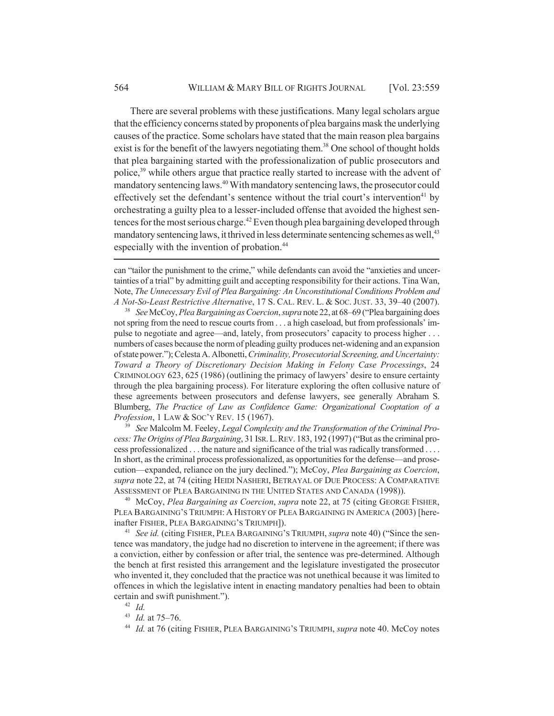There are several problems with these justifications. Many legal scholars argue that the efficiency concerns stated by proponents of plea bargains mask the underlying causes of the practice. Some scholars have stated that the main reason plea bargains exist is for the benefit of the lawyers negotiating them.<sup>38</sup> One school of thought holds that plea bargaining started with the professionalization of public prosecutors and police,39 while others argue that practice really started to increase with the advent of mandatory sentencing laws.40 With mandatory sentencing laws, the prosecutor could effectively set the defendant's sentence without the trial court's intervention<sup>41</sup> by orchestrating a guilty plea to a lesser-included offense that avoided the highest sentences for the most serious charge.<sup>42</sup> Even though plea bargaining developed through mandatory sentencing laws, it thrived in less determinate sentencing schemes as well,<sup>43</sup> especially with the invention of probation.<sup>44</sup>

can "tailor the punishment to the crime," while defendants can avoid the "anxieties and uncertainties of a trial" by admitting guilt and accepting responsibility for their actions. Tina Wan, Note, *The Unnecessary Evil of Plea Bargaining: An Unconstitutional Conditions Problem and A Not-So-Least Restrictive Alternative*, 17 S. CAL. REV. L. & SOC. JUST. 33, 39–40 (2007).

<sup>38</sup> *See* McCoy, *Plea Bargaining as Coercion*, *supra* note 22, at 68–69 ("Plea bargaining does not spring from the need to rescue courts from . . . a high caseload, but from professionals' impulse to negotiate and agree—and, lately, from prosecutors' capacity to process higher . . . numbers of cases because the norm of pleading guilty produces net-widening and an expansion of state power."); Celesta A. Albonetti, *Criminality, Prosecutorial Screening, and Uncertainty: Toward a Theory of Discretionary Decision Making in Felony Case Processings*, 24 CRIMINOLOGY 623, 625 (1986) (outlining the primacy of lawyers' desire to ensure certainty through the plea bargaining process). For literature exploring the often collusive nature of these agreements between prosecutors and defense lawyers, see generally Abraham S. Blumberg, *The Practice of Law as Confidence Game: Organizational Cooptation of a Profession*, 1 LAW & SOC'Y REV. 15 (1967).

<sup>39</sup> *See* Malcolm M. Feeley, *Legal Complexity and the Transformation of the Criminal Process: The Origins of Plea Bargaining*, 31 ISR.L.REV. 183, 192 (1997) ("But as the criminal process professionalized . . . the nature and significance of the trial was radically transformed . . . . In short, as the criminal process professionalized, as opportunities for the defense—and prosecution—expanded, reliance on the jury declined."); McCoy, *Plea Bargaining as Coercion*, *supra* note 22, at 74 (citing HEIDI NASHERI, BETRAYAL OF DUE PROCESS: A COMPARATIVE ASSESSMENT OF PLEA BARGAINING IN THE UNITED STATES AND CANADA (1998)).

<sup>40</sup> McCoy, *Plea Bargaining as Coercion*, *supra* note 22, at 75 (citing GEORGE FISHER, PLEA BARGAINING'S TRIUMPH: A HISTORY OF PLEA BARGAINING IN AMERICA (2003) [hereinafter FISHER, PLEA BARGAINING'S TRIUMPH]).

<sup>41</sup> *See id.* (citing FISHER, PLEA BARGAINING'S TRIUMPH, *supra* note 40) ("Since the sentence was mandatory, the judge had no discretion to intervene in the agreement; if there was a conviction, either by confession or after trial, the sentence was pre-determined. Although the bench at first resisted this arrangement and the legislature investigated the prosecutor who invented it, they concluded that the practice was not unethical because it was limited to offences in which the legislative intent in enacting mandatory penalties had been to obtain certain and swift punishment.").

<sup>42</sup> *Id.*

<sup>43</sup> *Id.* at 75–76.

<sup>44</sup> *Id.* at 76 (citing FISHER, PLEA BARGAINING'S TRIUMPH, *supra* note 40. McCoy notes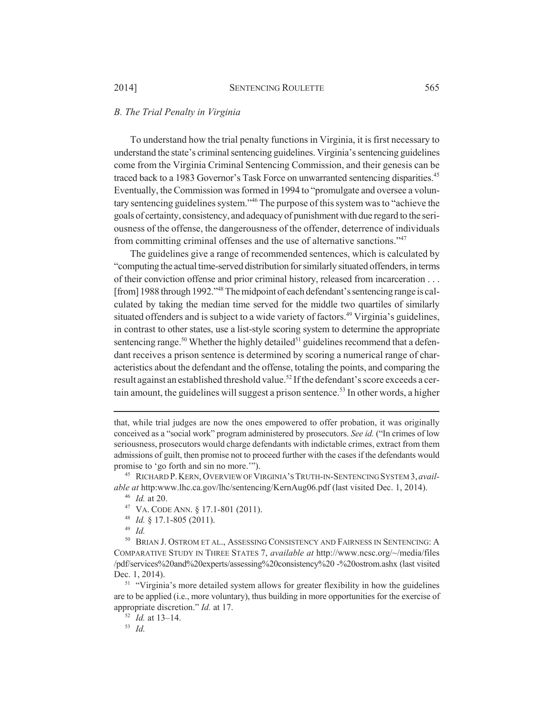#### *B. The Trial Penalty in Virginia*

To understand how the trial penalty functions in Virginia, it is first necessary to understand the state's criminal sentencing guidelines. Virginia's sentencing guidelines come from the Virginia Criminal Sentencing Commission, and their genesis can be traced back to a 1983 Governor's Task Force on unwarranted sentencing disparities.<sup>45</sup> Eventually, the Commission was formed in 1994 to "promulgate and oversee a voluntary sentencing guidelines system."46 The purpose of this system was to "achieve the goals of certainty, consistency, and adequacy of punishment with due regard to the seriousness of the offense, the dangerousness of the offender, deterrence of individuals from committing criminal offenses and the use of alternative sanctions."47

The guidelines give a range of recommended sentences, which is calculated by "computing the actual time-served distribution for similarly situated offenders, in terms of their conviction offense and prior criminal history, released from incarceration . . . [from] 1988 through 1992."<sup>48</sup> The midpoint of each defendant's sentencing range is calculated by taking the median time served for the middle two quartiles of similarly situated offenders and is subject to a wide variety of factors.<sup>49</sup> Virginia's guidelines, in contrast to other states, use a list-style scoring system to determine the appropriate sentencing range.<sup>50</sup> Whether the highly detailed<sup>51</sup> guidelines recommend that a defendant receives a prison sentence is determined by scoring a numerical range of characteristics about the defendant and the offense, totaling the points, and comparing the result against an established threshold value.<sup>52</sup> If the defendant's score exceeds a certain amount, the guidelines will suggest a prison sentence.<sup>53</sup> In other words, a higher

<sup>45</sup> RICHARD P.KERN, OVERVIEW OF VIRGINIA'S TRUTH-IN-SENTENCING SYSTEM 3, *available at* http:www.lhc.ca.gov/lhc/sentencing/KernAug06.pdf (last visited Dec. 1, 2014).

- <sup>47</sup> VA. CODE ANN. § 17.1-801 (2011).
- <sup>48</sup> *Id.* § 17.1-805 (2011).

<sup>49</sup> *Id.*

<sup>50</sup> BRIAN J. OSTROM ET AL., ASSESSING CONSISTENCY AND FAIRNESS IN SENTENCING: A COMPARATIVE STUDY IN THREE STATES 7, *available at* http://www.ncsc.org/~/media/files /pdf/services%20and%20experts/assessing%20consistency%20 -%20ostrom.ashx (last visited Dec. 1, 2014).

<sup>51</sup> "Virginia's more detailed system allows for greater flexibility in how the guidelines are to be applied (i.e., more voluntary), thus building in more opportunities for the exercise of appropriate discretion." *Id.* at 17.

<sup>52</sup> *Id.* at 13–14.

<sup>53</sup> *Id.*

that, while trial judges are now the ones empowered to offer probation, it was originally conceived as a "social work" program administered by prosecutors. *See id.* ("In crimes of low seriousness, prosecutors would charge defendants with indictable crimes, extract from them admissions of guilt, then promise not to proceed further with the cases if the defendants would promise to 'go forth and sin no more.'").

<sup>46</sup> *Id.* at 20.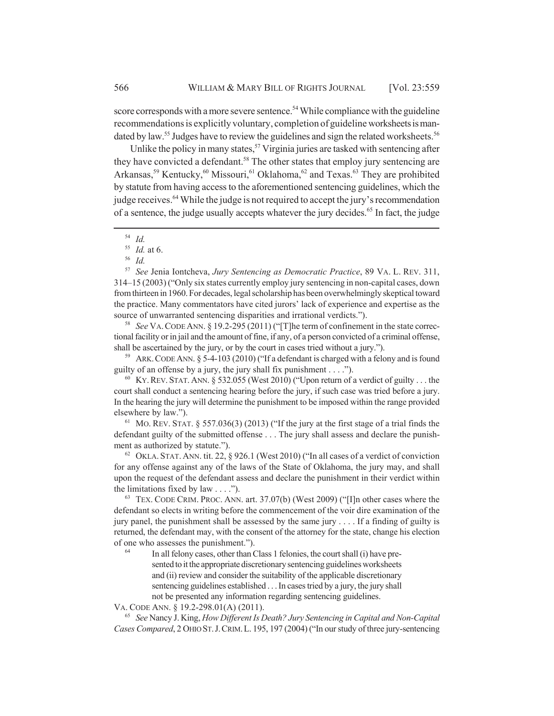score corresponds with a more severe sentence.<sup>54</sup> While compliance with the guideline recommendations is explicitly voluntary, completion of guideline worksheets is mandated by law.<sup>55</sup> Judges have to review the guidelines and sign the related worksheets.<sup>56</sup>

Unlike the policy in many states,<sup>57</sup> Virginia juries are tasked with sentencing after they have convicted a defendant.<sup>58</sup> The other states that employ jury sentencing are Arkansas,<sup>59</sup> Kentucky,<sup>60</sup> Missouri,<sup>61</sup> Oklahoma,<sup>62</sup> and Texas.<sup>63</sup> They are prohibited by statute from having access to the aforementioned sentencing guidelines, which the judge receives.<sup>64</sup> While the judge is not required to accept the jury's recommendation of a sentence, the judge usually accepts whatever the jury decides.<sup>65</sup> In fact, the judge

<sup>57</sup> *See* Jenia Iontcheva, *Jury Sentencing as Democratic Practice*, 89 VA. L. REV. 311, 314–15 (2003) ("Only six states currently employ jury sentencing in non-capital cases, down from thirteen in 1960. For decades, legal scholarship has been overwhelmingly skeptical toward the practice. Many commentators have cited jurors' lack of experience and expertise as the source of unwarranted sentencing disparities and irrational verdicts.").

<sup>58</sup> *See* VA.CODE ANN. § 19.2-295 (2011) ("[T]he term of confinement in the state correctional facility or in jail and the amount of fine, if any, of a person convicted of a criminal offense, shall be ascertained by the jury, or by the court in cases tried without a jury.").

<sup>59</sup> ARK.CODE ANN. § 5-4-103 (2010) ("If a defendant is charged with a felony and is found guilty of an offense by a jury, the jury shall fix punishment  $\dots$ .

<sup>60</sup> KY. REV. STAT. ANN. § 532.055 (West 2010) ("Upon return of a verdict of guilty . . . the court shall conduct a sentencing hearing before the jury, if such case was tried before a jury. In the hearing the jury will determine the punishment to be imposed within the range provided elsewhere by law.").

<sup>61</sup> MO. REV. STAT.  $\S$  557.036(3) (2013) ("If the jury at the first stage of a trial finds the defendant guilty of the submitted offense . . . The jury shall assess and declare the punishment as authorized by statute.").

 $62$  OKLA. STAT. ANN. tit. 22, § 926.1 (West 2010) ("In all cases of a verdict of conviction for any offense against any of the laws of the State of Oklahoma, the jury may, and shall upon the request of the defendant assess and declare the punishment in their verdict within the limitations fixed by law  $\dots$ .").

<sup>63</sup> TEX. CODE CRIM. PROC. ANN. art. 37.07(b) (West 2009) ("[I]n other cases where the defendant so elects in writing before the commencement of the voir dire examination of the jury panel, the punishment shall be assessed by the same jury . . . . If a finding of guilty is returned, the defendant may, with the consent of the attorney for the state, change his election of one who assesses the punishment.").

In all felony cases, other than Class 1 felonies, the court shall (i) have presented to it the appropriate discretionary sentencing guidelines worksheets and (ii) review and consider the suitability of the applicable discretionary sentencing guidelines established . . . In cases tried by a jury, the jury shall not be presented any information regarding sentencing guidelines.

VA. CODE ANN. § 19.2-298.01(A) (2011).

<sup>65</sup> *See* Nancy J. King, *How Different Is Death? Jury Sentencing in Capital and Non-Capital Cases Compared*, 2 OHIO ST.J.CRIM.L. 195, 197 (2004) ("In our study of three jury-sentencing

<sup>54</sup> *Id.*

<sup>55</sup> *Id.* at 6.

<sup>56</sup> *Id.*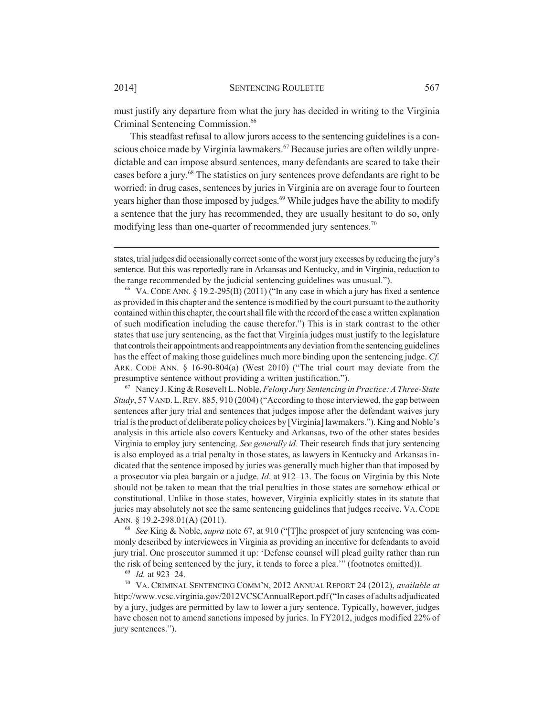must justify any departure from what the jury has decided in writing to the Virginia Criminal Sentencing Commission.<sup>66</sup>

This steadfast refusal to allow jurors access to the sentencing guidelines is a conscious choice made by Virginia lawmakers.<sup>67</sup> Because juries are often wildly unpredictable and can impose absurd sentences, many defendants are scared to take their cases before a jury.<sup>68</sup> The statistics on jury sentences prove defendants are right to be worried: in drug cases, sentences by juries in Virginia are on average four to fourteen years higher than those imposed by judges.<sup>69</sup> While judges have the ability to modify a sentence that the jury has recommended, they are usually hesitant to do so, only modifying less than one-quarter of recommended jury sentences.<sup>70</sup>

<sup>67</sup> Nancy J. King & Rosevelt L. Noble, *Felony Jury Sentencing in Practice: A Three-State Study*, 57 VAND.L.REV. 885, 910 (2004) ("According to those interviewed, the gap between sentences after jury trial and sentences that judges impose after the defendant waives jury trial is the product of deliberate policy choices by [Virginia] lawmakers."). King and Noble's analysis in this article also covers Kentucky and Arkansas, two of the other states besides Virginia to employ jury sentencing. *See generally id.* Their research finds that jury sentencing is also employed as a trial penalty in those states, as lawyers in Kentucky and Arkansas indicated that the sentence imposed by juries was generally much higher than that imposed by a prosecutor via plea bargain or a judge. *Id.* at 912–13. The focus on Virginia by this Note should not be taken to mean that the trial penalties in those states are somehow ethical or constitutional. Unlike in those states, however, Virginia explicitly states in its statute that juries may absolutely not see the same sentencing guidelines that judges receive. VA. CODE ANN. § 19.2-298.01(A) (2011).

<sup>68</sup> *See* King & Noble, *supra* note 67, at 910 ("[T]he prospect of jury sentencing was commonly described by interviewees in Virginia as providing an incentive for defendants to avoid jury trial. One prosecutor summed it up: 'Defense counsel will plead guilty rather than run the risk of being sentenced by the jury, it tends to force a plea.'" (footnotes omitted)).

<sup>69</sup> *Id.* at 923–24.

<sup>70</sup> VA. CRIMINAL SENTENCING COMM'N, 2012 ANNUAL REPORT 24 (2012), *available at* http://www.vcsc.virginia.gov/2012VCSCAnnualReport.pdf ("In cases of adults adjudicated by a jury, judges are permitted by law to lower a jury sentence. Typically, however, judges have chosen not to amend sanctions imposed by juries. In FY2012, judges modified 22% of jury sentences.").

states, trial judges did occasionally correct some of the worst jury excesses by reducing the jury's sentence. But this was reportedly rare in Arkansas and Kentucky, and in Virginia, reduction to the range recommended by the judicial sentencing guidelines was unusual.").

<sup>&</sup>lt;sup>66</sup> VA. CODE ANN. § 19.2-295(B) (2011) ("In any case in which a jury has fixed a sentence as provided in this chapter and the sentence is modified by the court pursuant to the authority contained within this chapter, the court shall file with the record of the case a written explanation of such modification including the cause therefor.") This is in stark contrast to the other states that use jury sentencing, as the fact that Virginia judges must justify to the legislature that controls their appointments and reappointments any deviation from the sentencing guidelines has the effect of making those guidelines much more binding upon the sentencing judge. *Cf.* ARK. CODE ANN. § 16-90-804(a) (West 2010) ("The trial court may deviate from the presumptive sentence without providing a written justification.").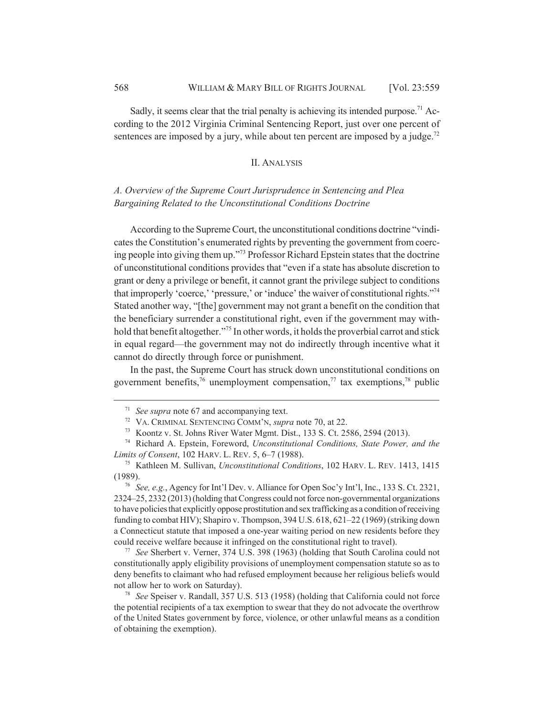Sadly, it seems clear that the trial penalty is achieving its intended purpose.<sup>71</sup> According to the 2012 Virginia Criminal Sentencing Report, just over one percent of sentences are imposed by a jury, while about ten percent are imposed by a judge.<sup>72</sup>

### II. ANALYSIS

## *A. Overview of the Supreme Court Jurisprudence in Sentencing and Plea Bargaining Related to the Unconstitutional Conditions Doctrine*

According to the Supreme Court, the unconstitutional conditions doctrine "vindicates the Constitution's enumerated rights by preventing the government from coercing people into giving them up."73 Professor Richard Epstein states that the doctrine of unconstitutional conditions provides that "even if a state has absolute discretion to grant or deny a privilege or benefit, it cannot grant the privilege subject to conditions that improperly 'coerce,' 'pressure,' or 'induce' the waiver of constitutional rights."74 Stated another way, "[the] government may not grant a benefit on the condition that the beneficiary surrender a constitutional right, even if the government may withhold that benefit altogether."<sup>75</sup> In other words, it holds the proverbial carrot and stick in equal regard—the government may not do indirectly through incentive what it cannot do directly through force or punishment.

In the past, the Supreme Court has struck down unconstitutional conditions on government benefits, $\frac{7}{6}$  unemployment compensation, $\frac{7}{7}$  tax exemptions, $\frac{7}{6}$  public

<sup>71</sup> *See supra* note 67 and accompanying text.

<sup>72</sup> VA. CRIMINAL SENTENCING COMM'N, *supra* note 70, at 22.

<sup>73</sup> Koontz v. St. Johns River Water Mgmt. Dist., 133 S. Ct. 2586, 2594 (2013).

<sup>74</sup> Richard A. Epstein, Foreword, *Unconstitutional Conditions, State Power, and the Limits of Consent*, 102 HARV. L. REV. 5, 6–7 (1988).

<sup>75</sup> Kathleen M. Sullivan, *Unconstitutional Conditions*, 102 HARV. L. REV. 1413, 1415 (1989).

<sup>76</sup> *See, e.g.*, Agency for Int'l Dev. v. Alliance for Open Soc'y Int'l, Inc., 133 S. Ct. 2321, 2324–25, 2332 (2013) (holding that Congress could not force non-governmental organizations to have policies that explicitly oppose prostitution and sex trafficking as a condition of receiving funding to combat HIV); Shapiro v. Thompson, 394 U.S. 618, 621–22 (1969) (striking down a Connecticut statute that imposed a one-year waiting period on new residents before they could receive welfare because it infringed on the constitutional right to travel).

<sup>77</sup> *See* Sherbert v. Verner, 374 U.S. 398 (1963) (holding that South Carolina could not constitutionally apply eligibility provisions of unemployment compensation statute so as to deny benefits to claimant who had refused employment because her religious beliefs would not allow her to work on Saturday).

<sup>78</sup> *See* Speiser v. Randall, 357 U.S. 513 (1958) (holding that California could not force the potential recipients of a tax exemption to swear that they do not advocate the overthrow of the United States government by force, violence, or other unlawful means as a condition of obtaining the exemption).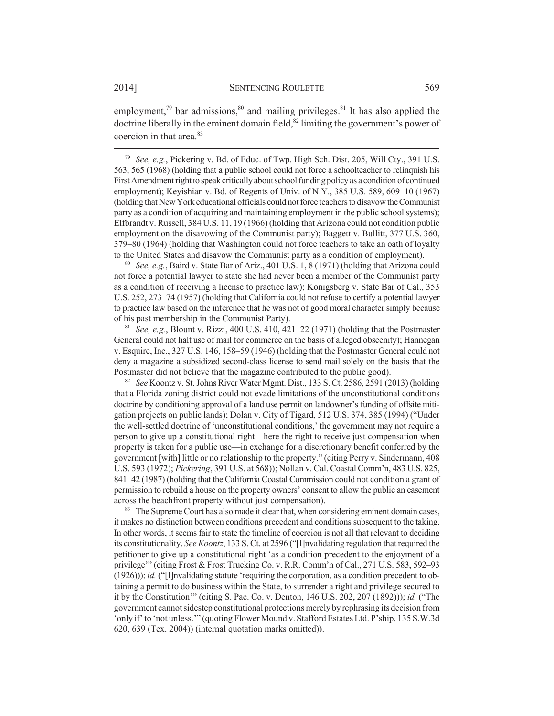employment,<sup>79</sup> bar admissions,  $80$  and mailing privileges. <sup>81</sup> It has also applied the doctrine liberally in the eminent domain field, $82$  limiting the government's power of coercion in that area $83$ 

<sup>79</sup> *See, e.g.*, Pickering v. Bd. of Educ. of Twp. High Sch. Dist. 205, Will Cty., 391 U.S. 563, 565 (1968) (holding that a public school could not force a schoolteacher to relinquish his First Amendment right to speak critically about school funding policy as a condition of continued employment); Keyishian v. Bd. of Regents of Univ. of N.Y., 385 U.S. 589, 609–10 (1967) (holding that New York educational officials could not force teachers to disavow the Communist party as a condition of acquiring and maintaining employment in the public school systems); Elfbrandt v. Russell, 384 U.S. 11, 19 (1966) (holding that Arizona could not condition public employment on the disavowing of the Communist party); Baggett v. Bullitt, 377 U.S. 360, 379–80 (1964) (holding that Washington could not force teachers to take an oath of loyalty to the United States and disavow the Communist party as a condition of employment).

<sup>80</sup> *See, e.g.*, Baird v. State Bar of Ariz., 401 U.S. 1, 8 (1971) (holding that Arizona could not force a potential lawyer to state she had never been a member of the Communist party as a condition of receiving a license to practice law); Konigsberg v. State Bar of Cal., 353 U.S. 252, 273–74 (1957) (holding that California could not refuse to certify a potential lawyer to practice law based on the inference that he was not of good moral character simply because of his past membership in the Communist Party).

<sup>81</sup> *See, e.g.*, Blount v. Rizzi, 400 U.S. 410, 421–22 (1971) (holding that the Postmaster General could not halt use of mail for commerce on the basis of alleged obscenity); Hannegan v. Esquire, Inc., 327 U.S. 146, 158–59 (1946) (holding that the Postmaster General could not deny a magazine a subsidized second-class license to send mail solely on the basis that the Postmaster did not believe that the magazine contributed to the public good).

<sup>82</sup> *See* Koontz v. St. Johns River Water Mgmt. Dist., 133 S. Ct. 2586, 2591 (2013) (holding that a Florida zoning district could not evade limitations of the unconstitutional conditions doctrine by conditioning approval of a land use permit on landowner's funding of offsite mitigation projects on public lands); Dolan v. City of Tigard, 512 U.S. 374, 385 (1994) ("Under the well-settled doctrine of 'unconstitutional conditions,' the government may not require a person to give up a constitutional right—here the right to receive just compensation when property is taken for a public use—in exchange for a discretionary benefit conferred by the government [with] little or no relationship to the property." (citing Perry v. Sindermann, 408 U.S. 593 (1972); *Pickering*, 391 U.S. at 568)); Nollan v. Cal. Coastal Comm'n, 483 U.S. 825, 841–42 (1987) (holding that the California Coastal Commission could not condition a grant of permission to rebuild a house on the property owners' consent to allow the public an easement across the beachfront property without just compensation).

<sup>83</sup> The Supreme Court has also made it clear that, when considering eminent domain cases, it makes no distinction between conditions precedent and conditions subsequent to the taking. In other words, it seems fair to state the timeline of coercion is not all that relevant to deciding its constitutionality. *See Koontz*, 133 S. Ct. at 2596 ("[I]nvalidating regulation that required the petitioner to give up a constitutional right 'as a condition precedent to the enjoyment of a privilege'" (citing Frost & Frost Trucking Co. v. R.R. Comm'n of Cal., 271 U.S. 583, 592–93 (1926))); *id.* ("[I]nvalidating statute 'requiring the corporation, as a condition precedent to obtaining a permit to do business within the State, to surrender a right and privilege secured to it by the Constitution'" (citing S. Pac. Co. v. Denton, 146 U.S. 202, 207 (1892))); *id.* ("The government cannot sidestep constitutional protections merely by rephrasing its decision from 'only if' to 'not unless.'" (quoting Flower Mound v. Stafford Estates Ltd. P'ship, 135 S.W.3d 620, 639 (Tex. 2004)) (internal quotation marks omitted)).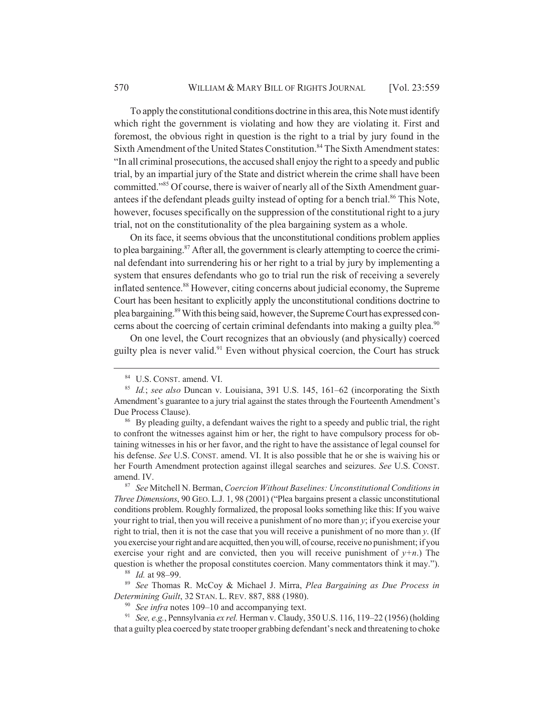To apply the constitutional conditions doctrine in this area, this Note must identify which right the government is violating and how they are violating it. First and foremost, the obvious right in question is the right to a trial by jury found in the Sixth Amendment of the United States Constitution.<sup>84</sup> The Sixth Amendment states: "In all criminal prosecutions, the accused shall enjoy the right to a speedy and public trial, by an impartial jury of the State and district wherein the crime shall have been committed."85 Of course, there is waiver of nearly all of the Sixth Amendment guarantees if the defendant pleads guilty instead of opting for a bench trial.<sup>86</sup> This Note, however, focuses specifically on the suppression of the constitutional right to a jury trial, not on the constitutionality of the plea bargaining system as a whole.

On its face, it seems obvious that the unconstitutional conditions problem applies to plea bargaining.<sup>87</sup> After all, the government is clearly attempting to coerce the criminal defendant into surrendering his or her right to a trial by jury by implementing a system that ensures defendants who go to trial run the risk of receiving a severely inflated sentence.<sup>88</sup> However, citing concerns about judicial economy, the Supreme Court has been hesitant to explicitly apply the unconstitutional conditions doctrine to plea bargaining.89 With this being said, however, the Supreme Court has expressed concerns about the coercing of certain criminal defendants into making a guilty plea.<sup>90</sup>

On one level, the Court recognizes that an obviously (and physically) coerced guilty plea is never valid.<sup>91</sup> Even without physical coercion, the Court has struck

<sup>84</sup> U.S. CONST. amend. VI.

<sup>85</sup> *Id.*; *see also* Duncan v. Louisiana, 391 U.S. 145, 161–62 (incorporating the Sixth Amendment's guarantee to a jury trial against the states through the Fourteenth Amendment's Due Process Clause).

<sup>&</sup>lt;sup>86</sup> By pleading guilty, a defendant waives the right to a speedy and public trial, the right to confront the witnesses against him or her, the right to have compulsory process for obtaining witnesses in his or her favor, and the right to have the assistance of legal counsel for his defense. *See* U.S. CONST. amend. VI. It is also possible that he or she is waiving his or her Fourth Amendment protection against illegal searches and seizures. *See* U.S. CONST. amend. IV.

<sup>87</sup> *See* Mitchell N. Berman, *Coercion Without Baselines: Unconstitutional Conditions in Three Dimensions*, 90 GEO. L.J. 1, 98 (2001) ("Plea bargains present a classic unconstitutional conditions problem. Roughly formalized, the proposal looks something like this: If you waive your right to trial, then you will receive a punishment of no more than *y*; if you exercise your right to trial, then it is not the case that you will receive a punishment of no more than *y*. (If you exercise your right and are acquitted, then you will, of course, receive no punishment; if you exercise your right and are convicted, then you will receive punishment of  $y+n$ .) The question is whether the proposal constitutes coercion. Many commentators think it may.").

<sup>88</sup> *Id.* at 98–99.

<sup>89</sup> *See* Thomas R. McCoy & Michael J. Mirra, *Plea Bargaining as Due Process in Determining Guilt*, 32 STAN. L. REV. 887, 888 (1980).

<sup>90</sup> *See infra* notes 109–10 and accompanying text.

<sup>91</sup> *See, e.g.*, Pennsylvania *ex rel.* Herman v. Claudy, 350 U.S. 116, 119–22 (1956) (holding that a guilty plea coerced by state trooper grabbing defendant's neck and threatening to choke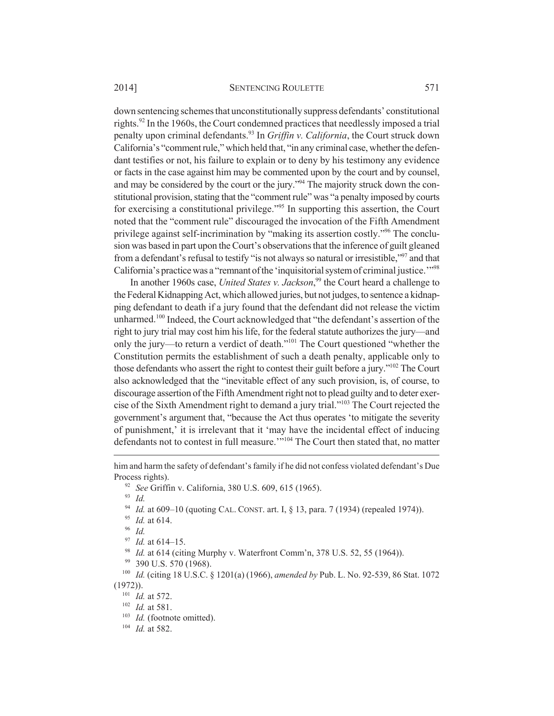#### 2014] SENTENCING ROULETTE 571

down sentencing schemes that unconstitutionally suppress defendants' constitutional rights.<sup>92</sup> In the 1960s, the Court condemned practices that needlessly imposed a trial penalty upon criminal defendants.93 In *Griffin v. California*, the Court struck down California's "comment rule," which held that, "in any criminal case, whether the defendant testifies or not, his failure to explain or to deny by his testimony any evidence or facts in the case against him may be commented upon by the court and by counsel, and may be considered by the court or the jury.<sup>394</sup> The majority struck down the constitutional provision, stating that the "comment rule" was "a penalty imposed by courts for exercising a constitutional privilege."95 In supporting this assertion, the Court noted that the "comment rule" discouraged the invocation of the Fifth Amendment privilege against self-incrimination by "making its assertion costly."96 The conclusion was based in part upon the Court's observations that the inference of guilt gleaned from a defendant's refusal to testify "is not always so natural or irresistible,"97 and that California's practice was a "remnant of the 'inquisitorial system of criminal justice.'"<sup>98</sup>

In another 1960s case, *United States v. Jackson*, 99 the Court heard a challenge to the Federal Kidnapping Act, which allowed juries, but not judges, to sentence a kidnapping defendant to death if a jury found that the defendant did not release the victim unharmed.100 Indeed, the Court acknowledged that "the defendant's assertion of the right to jury trial may cost him his life, for the federal statute authorizes the jury—and only the jury—to return a verdict of death."101 The Court questioned "whether the Constitution permits the establishment of such a death penalty, applicable only to those defendants who assert the right to contest their guilt before a jury."102 The Court also acknowledged that the "inevitable effect of any such provision, is, of course, to discourage assertion of the Fifth Amendment right not to plead guilty and to deter exercise of the Sixth Amendment right to demand a jury trial."103 The Court rejected the government's argument that, "because the Act thus operates 'to mitigate the severity of punishment,' it is irrelevant that it 'may have the incidental effect of inducing defendants not to contest in full measure.'"104 The Court then stated that, no matter

<sup>93</sup> *Id.*

<sup>96</sup> *Id.*

<sup>98</sup> *Id.* at 614 (citing Murphy v. Waterfront Comm'n, 378 U.S. 52, 55 (1964)).

him and harm the safety of defendant's family if he did not confess violated defendant's Due Process rights).

<sup>92</sup> *See* Griffin v. California, 380 U.S. 609, 615 (1965).

<sup>94</sup> *Id.* at 609–10 (quoting CAL. CONST. art. I, § 13, para. 7 (1934) (repealed 1974)).

<sup>95</sup> *Id.* at 614.

<sup>97</sup> *Id.* at 614–15.

<sup>&</sup>lt;sup>99</sup> 390 U.S. 570 (1968).

<sup>100</sup> *Id.* (citing 18 U.S.C. § 1201(a) (1966), *amended by* Pub. L. No. 92-539, 86 Stat. 1072 (1972)).

<sup>101</sup> *Id.* at 572.

<sup>102</sup> *Id.* at 581.

<sup>&</sup>lt;sup>103</sup> *Id.* (footnote omitted).

<sup>104</sup> *Id.* at 582.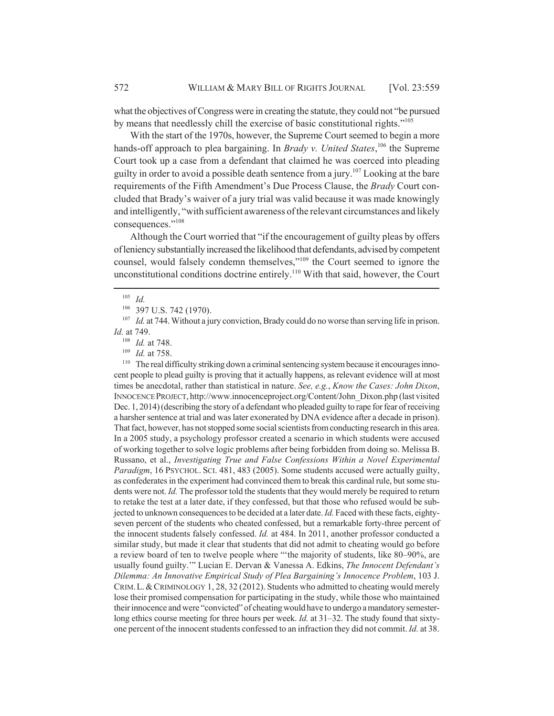what the objectives of Congress were in creating the statute, they could not "be pursued by means that needlessly chill the exercise of basic constitutional rights."105

With the start of the 1970s, however, the Supreme Court seemed to begin a more hands-off approach to plea bargaining. In *Brady v. United States*,<sup>106</sup> the Supreme Court took up a case from a defendant that claimed he was coerced into pleading guilty in order to avoid a possible death sentence from a jury.<sup>107</sup> Looking at the bare requirements of the Fifth Amendment's Due Process Clause, the *Brady* Court concluded that Brady's waiver of a jury trial was valid because it was made knowingly and intelligently, "with sufficient awareness of the relevant circumstances and likely consequences."108

Although the Court worried that "if the encouragement of guilty pleas by offers of leniency substantially increased the likelihood that defendants, advised by competent counsel, would falsely condemn themselves,"109 the Court seemed to ignore the unconstitutional conditions doctrine entirely.110 With that said, however, the Court

<sup>110</sup> The real difficulty striking down a criminal sentencing system because it encourages innocent people to plead guilty is proving that it actually happens, as relevant evidence will at most times be anecdotal, rather than statistical in nature. *See, e.g.*, *Know the Cases: John Dixon*, INNOCENCE PROJECT, http://www.innocenceproject.org/Content/John\_Dixon.php (last visited Dec. 1, 2014) (describing the story of a defendant who pleaded guilty to rape for fear of receiving a harsher sentence at trial and was later exonerated by DNA evidence after a decade in prison). That fact, however, has not stopped some social scientists from conducting research in this area. In a 2005 study, a psychology professor created a scenario in which students were accused of working together to solve logic problems after being forbidden from doing so. Melissa B. Russano, et al., *Investigating True and False Confessions Within a Novel Experimental Paradigm*, 16 PSYCHOL. SCI. 481, 483 (2005). Some students accused were actually guilty, as confederates in the experiment had convinced them to break this cardinal rule, but some students were not. *Id.* The professor told the students that they would merely be required to return to retake the test at a later date, if they confessed, but that those who refused would be subjected to unknown consequences to be decided at a later date. *Id.* Faced with these facts, eightyseven percent of the students who cheated confessed, but a remarkable forty-three percent of the innocent students falsely confessed. *Id.* at 484. In 2011, another professor conducted a similar study, but made it clear that students that did not admit to cheating would go before a review board of ten to twelve people where "'the majority of students, like 80–90%, are usually found guilty.'" Lucian E. Dervan & Vanessa A. Edkins, *The Innocent Defendant's Dilemma: An Innovative Empirical Study of Plea Bargaining's Innocence Problem*, 103 J. CRIM.L.&CRIMINOLOGY 1, 28, 32 (2012). Students who admitted to cheating would merely lose their promised compensation for participating in the study, while those who maintained their innocence and were "convicted" of cheating would have to undergo a mandatory semesterlong ethics course meeting for three hours per week. *Id.* at 31–32. The study found that sixtyone percent of the innocent students confessed to an infraction they did not commit. *Id.* at 38.

<sup>105</sup> *Id.*

<sup>106 397</sup> U.S. 742 (1970).

<sup>&</sup>lt;sup>107</sup> *Id.* at 744. Without a jury conviction, Brady could do no worse than serving life in prison. *Id.* at 749.

<sup>108</sup> *Id.* at 748.

<sup>109</sup> *Id.* at 758.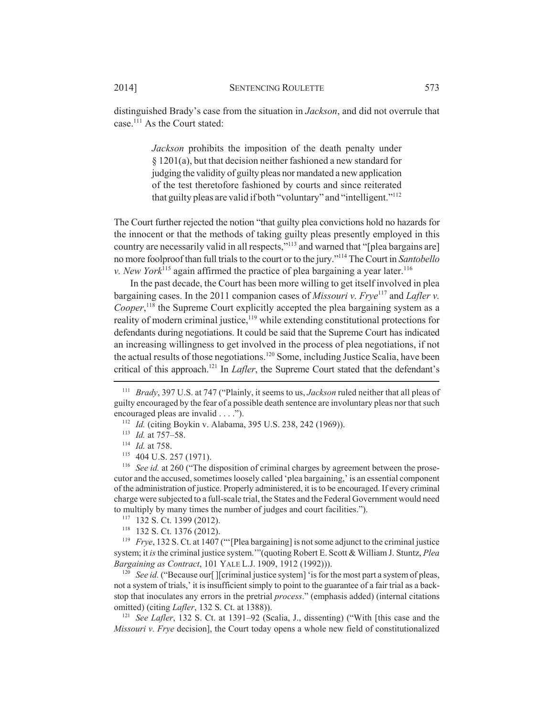distinguished Brady's case from the situation in *Jackson*, and did not overrule that case.111 As the Court stated:

> *Jackson* prohibits the imposition of the death penalty under § 1201(a), but that decision neither fashioned a new standard for judging the validity of guilty pleas nor mandated a new application of the test theretofore fashioned by courts and since reiterated that guilty pleas are valid if both "voluntary" and "intelligent."112

The Court further rejected the notion "that guilty plea convictions hold no hazards for the innocent or that the methods of taking guilty pleas presently employed in this country are necessarily valid in all respects,"<sup>113</sup> and warned that "[plea bargains are] no more foolproof than full trials to the court or to the jury."114 The Court in *Santobello v. New York*<sup>115</sup> again affirmed the practice of plea bargaining a year later.<sup>116</sup>

In the past decade, the Court has been more willing to get itself involved in plea bargaining cases. In the 2011 companion cases of *Missouri v. Frye*<sup>117</sup> and *Lafler v.* Cooper,<sup>118</sup> the Supreme Court explicitly accepted the plea bargaining system as a reality of modern criminal justice,<sup>119</sup> while extending constitutional protections for defendants during negotiations. It could be said that the Supreme Court has indicated an increasing willingness to get involved in the process of plea negotiations, if not the actual results of those negotiations.<sup>120</sup> Some, including Justice Scalia, have been critical of this approach.121 In *Lafler*, the Supreme Court stated that the defendant's

<sup>119</sup> *Frye*, 132 S. Ct. at 1407 ("'[Plea bargaining] is not some adjunct to the criminal justice system; it *is* the criminal justice system.'"(quoting Robert E. Scott & William J. Stuntz, *Plea Bargaining as Contract*, 101 YALE L.J. 1909, 1912 (1992))).

<sup>120</sup> *See id.* ("Because our [ ][criminal justice system] 'is for the most part a system of pleas, not a system of trials,' it is insufficient simply to point to the guarantee of a fair trial as a backstop that inoculates any errors in the pretrial *process*." (emphasis added) (internal citations omitted) (citing *Lafler*, 132 S. Ct. at 1388)).

<sup>121</sup> *See Lafler*, 132 S. Ct. at 1391–92 (Scalia, J., dissenting) ("With [this case and the *Missouri v. Frye* decision], the Court today opens a whole new field of constitutionalized

<sup>111</sup> *Brady*, 397 U.S. at 747 ("Plainly, it seems to us, *Jackson* ruled neither that all pleas of guilty encouraged by the fear of a possible death sentence are involuntary pleas nor that such encouraged pleas are invalid . . . .").

<sup>112</sup> *Id.* (citing Boykin v. Alabama, 395 U.S. 238, 242 (1969)).

<sup>113</sup> *Id.* at 757–58.

<sup>114</sup> *Id.* at 758.

<sup>115</sup> 404 U.S. 257 (1971).

<sup>116</sup> *See id.* at 260 ("The disposition of criminal charges by agreement between the prosecutor and the accused, sometimes loosely called 'plea bargaining,' is an essential component of the administration of justice. Properly administered, it is to be encouraged. If every criminal charge were subjected to a full-scale trial, the States and the Federal Government would need to multiply by many times the number of judges and court facilities.").

<sup>117</sup> 132 S. Ct. 1399 (2012).

<sup>118</sup> 132 S. Ct. 1376 (2012).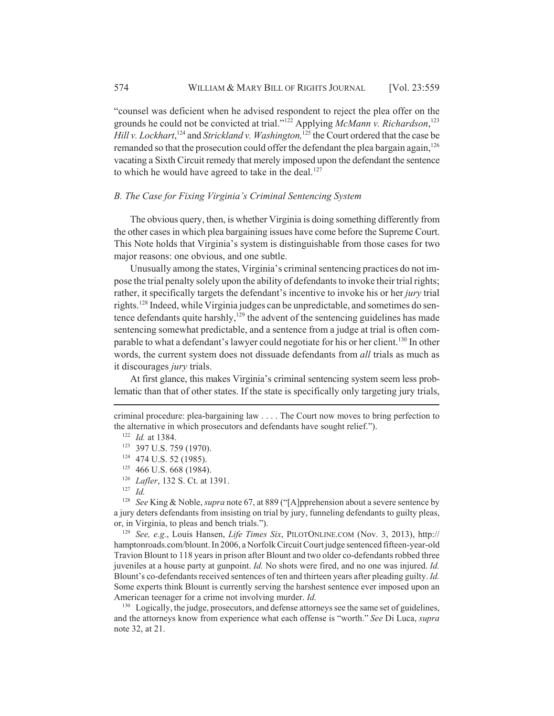"counsel was deficient when he advised respondent to reject the plea offer on the grounds he could not be convicted at trial."122 Applying *McMann v. Richardson*, 123 Hill v. Lockhart,<sup>124</sup> and *Strickland v. Washington*,<sup>125</sup> the Court ordered that the case be remanded so that the prosecution could offer the defendant the plea bargain again,  $126$ vacating a Sixth Circuit remedy that merely imposed upon the defendant the sentence to which he would have agreed to take in the deal.<sup>127</sup>

## *B. The Case for Fixing Virginia's Criminal Sentencing System*

The obvious query, then, is whether Virginia is doing something differently from the other cases in which plea bargaining issues have come before the Supreme Court. This Note holds that Virginia's system is distinguishable from those cases for two major reasons: one obvious, and one subtle.

Unusually among the states, Virginia's criminal sentencing practices do not impose the trial penalty solely upon the ability of defendants to invoke their trial rights; rather, it specifically targets the defendant's incentive to invoke his or her *jury* trial rights.128 Indeed, while Virginia judges can be unpredictable, and sometimes do sentence defendants quite harshly, $129$  the advent of the sentencing guidelines has made sentencing somewhat predictable, and a sentence from a judge at trial is often comparable to what a defendant's lawyer could negotiate for his or her client.<sup>130</sup> In other words, the current system does not dissuade defendants from *all* trials as much as it discourages *jury* trials.

At first glance, this makes Virginia's criminal sentencing system seem less problematic than that of other states. If the state is specifically only targeting jury trials,

<sup>129</sup> *See, e.g.*, Louis Hansen, *Life Times Six*, PILOTONLINE.COM (Nov. 3, 2013), http:// hamptonroads.com/blount. In 2006, a Norfolk Circuit Court judge sentenced fifteen-year-old Travion Blount to 118 years in prison after Blount and two older co-defendants robbed three juveniles at a house party at gunpoint. *Id.* No shots were fired, and no one was injured. *Id.* Blount's co-defendants received sentences of ten and thirteen years after pleading guilty. *Id.* Some experts think Blount is currently serving the harshest sentence ever imposed upon an American teenager for a crime not involving murder. *Id.*

<sup>130</sup> Logically, the judge, prosecutors, and defense attorneys see the same set of guidelines, and the attorneys know from experience what each offense is "worth." *See* Di Luca, *supra* note 32, at 21.

criminal procedure: plea-bargaining law . . . . The Court now moves to bring perfection to the alternative in which prosecutors and defendants have sought relief.").

<sup>122</sup> *Id.* at 1384.

<sup>123</sup> 397 U.S. 759 (1970).

<sup>124</sup> 474 U.S. 52 (1985).

<sup>&</sup>lt;sup>125</sup> 466 U.S. 668 (1984).

<sup>126</sup> *Lafler*, 132 S. Ct. at 1391.

 $\frac{127}{128}$  *Id.* 

<sup>128</sup> *See* King & Noble, *supra* note 67, at 889 ("[A]pprehension about a severe sentence by a jury deters defendants from insisting on trial by jury, funneling defendants to guilty pleas, or, in Virginia, to pleas and bench trials.").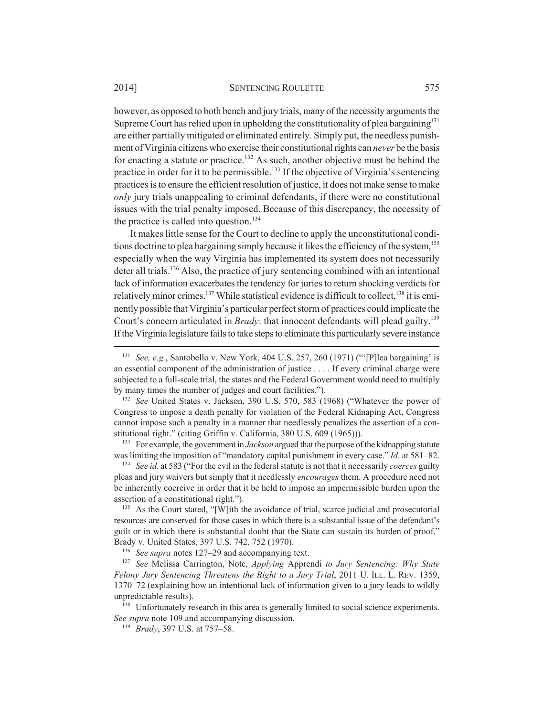however, as opposed to both bench and jury trials, many of the necessity arguments the Supreme Court has relied upon in upholding the constitutionality of plea bargaining<sup>131</sup> are either partially mitigated or eliminated entirely. Simply put, the needless punishment of Virginia citizens who exercise their constitutional rights can *never* be the basis for enacting a statute or practice.<sup>132</sup> As such, another objective must be behind the practice in order for it to be permissible.<sup>133</sup> If the objective of Virginia's sentencing practices is to ensure the efficient resolution of justice, it does not make sense to make *only* jury trials unappealing to criminal defendants, if there were no constitutional issues with the trial penalty imposed. Because of this discrepancy, the necessity of the practice is called into question.<sup>134</sup>

It makes little sense for the Court to decline to apply the unconstitutional conditions doctrine to plea bargaining simply because it likes the efficiency of the system,<sup>135</sup> especially when the way Virginia has implemented its system does not necessarily deter all trials.<sup>136</sup> Also, the practice of jury sentencing combined with an intentional lack of information exacerbates the tendency for juries to return shocking verdicts for relatively minor crimes.<sup>137</sup> While statistical evidence is difficult to collect.<sup>138</sup> it is eminently possible that Virginia's particular perfect storm of practices could implicate the Court's concern articulated in *Brady*: that innocent defendants will plead guilty.<sup>139</sup> If the Virginia legislature fails to take steps to eliminate this particularly severe instance

<sup>133</sup> For example, the government in *Jackson* argued that the purpose of the kidnapping statute was limiting the imposition of "mandatory capital punishment in every case." *Id.* at 581–82.

<sup>134</sup> *See id.* at 583 ("For the evil in the federal statute is not that it necessarily *coerces* guilty pleas and jury waivers but simply that it needlessly *encourages* them. A procedure need not be inherently coercive in order that it be held to impose an impermissible burden upon the assertion of a constitutional right.").

<sup>135</sup> As the Court stated, "[W]ith the avoidance of trial, scarce judicial and prosecutorial resources are conserved for those cases in which there is a substantial issue of the defendant's guilt or in which there is substantial doubt that the State can sustain its burden of proof." Brady v. United States, 397 U.S. 742, 752 (1970).

<sup>136</sup> *See supra* notes 127–29 and accompanying text.

<sup>137</sup> *See* Melissa Carrington, Note, *Applying* Apprendi *to Jury Sentencing: Why State Felony Jury Sentencing Threatens the Right to a Jury Trial*, 2011 U. ILL. L. REV. 1359, 1370–72 (explaining how an intentional lack of information given to a jury leads to wildly unpredictable results).

<sup>138</sup> Unfortunately research in this area is generally limited to social science experiments. *See supra* note 109 and accompanying discussion.

<sup>139</sup> *Brady*, 397 U.S. at 757–58.

<sup>131</sup> *See, e.g.*, Santobello v. New York, 404 U.S. 257, 260 (1971) ("'[P]lea bargaining' is an essential component of the administration of justice . . . . If every criminal charge were subjected to a full-scale trial, the states and the Federal Government would need to multiply by many times the number of judges and court facilities.").

<sup>132</sup> *See* United States v. Jackson, 390 U.S. 570, 583 (1968) ("Whatever the power of Congress to impose a death penalty for violation of the Federal Kidnaping Act, Congress cannot impose such a penalty in a manner that needlessly penalizes the assertion of a constitutional right." (citing Griffin v. California, 380 U.S. 609 (1965))).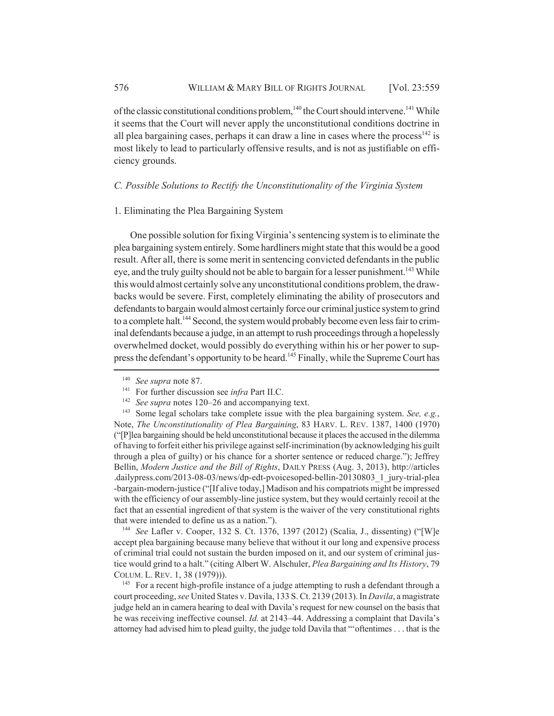of the classic constitutional conditions problem,<sup>140</sup> the Court should intervene.<sup>141</sup> While it seems that the Court will never apply the unconstitutional conditions doctrine in all plea bargaining cases, perhaps it can draw a line in cases where the process<sup>142</sup> is most likely to lead to particularly offensive results, and is not as justifiable on efficiency grounds.

## *C. Possible Solutions to Rectify the Unconstitutionality of the Virginia System*

#### 1. Eliminating the Plea Bargaining System

One possible solution for fixing Virginia's sentencing system is to eliminate the plea bargaining system entirely. Some hardliners might state that this would be a good result. After all, there is some merit in sentencing convicted defendants in the public eye, and the truly guilty should not be able to bargain for a lesser punishment.<sup>143</sup> While this would almost certainly solve any unconstitutional conditions problem, the drawbacks would be severe. First, completely eliminating the ability of prosecutors and defendants to bargain would almost certainly force our criminal justice system to grind to a complete halt.<sup>144</sup> Second, the system would probably become even less fair to criminal defendants because a judge, in an attempt to rush proceedings through a hopelessly overwhelmed docket, would possibly do everything within his or her power to suppress the defendant's opportunity to be heard.<sup>145</sup> Finally, while the Supreme Court has

<sup>142</sup> *See supra* notes 120–26 and accompanying text.

<sup>143</sup> Some legal scholars take complete issue with the plea bargaining system. *See, e.g.*, Note, *The Unconstitutionality of Plea Bargaining*, 83 HARV. L. REV. 1387, 1400 (1970) ("[P]lea bargaining should be held unconstitutional because it places the accused in the dilemma of having to forfeit either his privilege against self-incrimination (by acknowledging his guilt through a plea of guilty) or his chance for a shorter sentence or reduced charge."); Jeffrey Bellin, *Modern Justice and the Bill of Rights*, DAILY PRESS (Aug. 3, 2013), http://articles .dailypress.com/2013-08-03/news/dp-edt-pvoicesoped-bellin-20130803\_1\_jury-trial-plea -bargain-modern-justice ("[If alive today,] Madison and his compatriots might be impressed with the efficiency of our assembly-line justice system, but they would certainly recoil at the fact that an essential ingredient of that system is the waiver of the very constitutional rights that were intended to define us as a nation.").

<sup>144</sup> *See* Lafler v. Cooper, 132 S. Ct. 1376, 1397 (2012) (Scalia, J., dissenting) ("[W]e accept plea bargaining because many believe that without it our long and expensive process of criminal trial could not sustain the burden imposed on it, and our system of criminal justice would grind to a halt." (citing Albert W. Alschuler, *Plea Bargaining and Its History*, 79 COLUM. L. REV. 1, 38 (1979))).

<sup>145</sup> For a recent high-profile instance of a judge attempting to rush a defendant through a court proceeding, *see* United States v. Davila, 133 S. Ct. 2139 (2013). In *Davila*, a magistrate judge held an in camera hearing to deal with Davila's request for new counsel on the basis that he was receiving ineffective counsel. *Id.* at 2143–44. Addressing a complaint that Davila's attorney had advised him to plead guilty, the judge told Davila that "'oftentimes . . . that is the

<sup>140</sup> *See supra* note 87.

<sup>141</sup> For further discussion see *infra* Part II.C.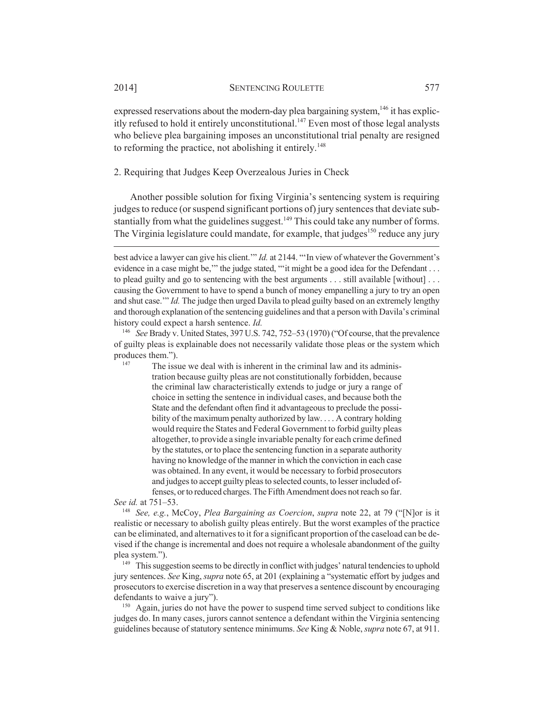expressed reservations about the modern-day plea bargaining system,<sup>146</sup> it has explicitly refused to hold it entirely unconstitutional.<sup>147</sup> Even most of those legal analysts who believe plea bargaining imposes an unconstitutional trial penalty are resigned to reforming the practice, not abolishing it entirely.<sup>148</sup>

2. Requiring that Judges Keep Overzealous Juries in Check

Another possible solution for fixing Virginia's sentencing system is requiring judges to reduce (or suspend significant portions of) jury sentences that deviate substantially from what the guidelines suggest.<sup>149</sup> This could take any number of forms. The Virginia legislature could mandate, for example, that judges<sup>150</sup> reduce any jury

<sup>146</sup> *See* Brady v. United States, 397 U.S. 742, 752–53 (1970) ("Of course, that the prevalence of guilty pleas is explainable does not necessarily validate those pleas or the system which produces them.").

 $147$  The issue we deal with is inherent in the criminal law and its administration because guilty pleas are not constitutionally forbidden, because the criminal law characteristically extends to judge or jury a range of choice in setting the sentence in individual cases, and because both the State and the defendant often find it advantageous to preclude the possibility of the maximum penalty authorized by law. . . . A contrary holding would require the States and Federal Government to forbid guilty pleas altogether, to provide a single invariable penalty for each crime defined by the statutes, or to place the sentencing function in a separate authority having no knowledge of the manner in which the conviction in each case was obtained. In any event, it would be necessary to forbid prosecutors and judges to accept guilty pleas to selected counts, to lesser included offenses, or to reduced charges. The Fifth Amendment does not reach so far.

*See id.* at 751–53.

<sup>148</sup> *See, e.g.*, McCoy, *Plea Bargaining as Coercion*, *supra* note 22, at 79 ("[N]or is it realistic or necessary to abolish guilty pleas entirely. But the worst examples of the practice can be eliminated, and alternatives to it for a significant proportion of the caseload can be devised if the change is incremental and does not require a wholesale abandonment of the guilty plea system.").

<sup>149</sup> This suggestion seems to be directly in conflict with judges' natural tendencies to uphold jury sentences. *See* King, *supra* note 65, at 201 (explaining a "systematic effort by judges and prosecutors to exercise discretion in a way that preserves a sentence discount by encouraging defendants to waive a jury").

<sup>150</sup> Again, juries do not have the power to suspend time served subject to conditions like judges do. In many cases, jurors cannot sentence a defendant within the Virginia sentencing guidelines because of statutory sentence minimums. *See* King & Noble, *supra* note 67, at 911.

best advice a lawyer can give his client.'" *Id.* at 2144. "'In view of whatever the Government's evidence in a case might be," the judge stated, ""it might be a good idea for the Defendant . . . to plead guilty and go to sentencing with the best arguments . . . still available [without] . . . causing the Government to have to spend a bunch of money empanelling a jury to try an open and shut case.'" *Id.* The judge then urged Davila to plead guilty based on an extremely lengthy and thorough explanation of the sentencing guidelines and that a person with Davila's criminal history could expect a harsh sentence. *Id.*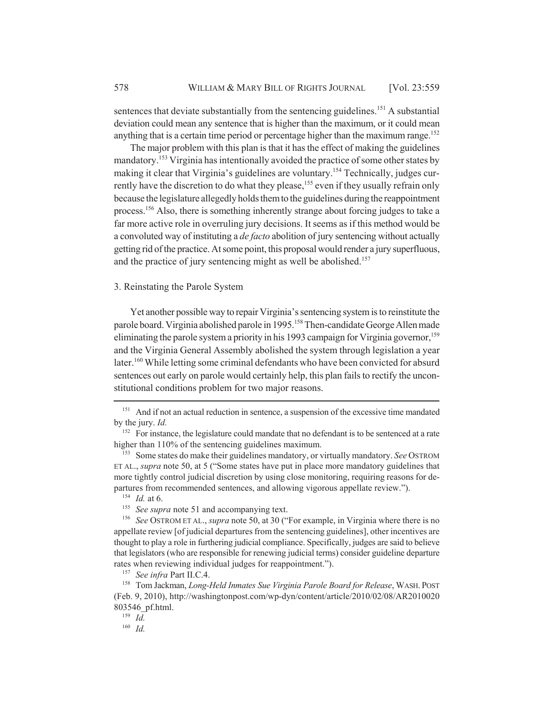sentences that deviate substantially from the sentencing guidelines.<sup>151</sup> A substantial deviation could mean any sentence that is higher than the maximum, or it could mean anything that is a certain time period or percentage higher than the maximum range.<sup>152</sup>

The major problem with this plan is that it has the effect of making the guidelines mandatory.153 Virginia has intentionally avoided the practice of some other states by making it clear that Virginia's guidelines are voluntary.<sup>154</sup> Technically, judges currently have the discretion to do what they please,<sup>155</sup> even if they usually refrain only because the legislature allegedly holds them to the guidelines during the reappointment process.156 Also, there is something inherently strange about forcing judges to take a far more active role in overruling jury decisions. It seems as if this method would be a convoluted way of instituting a *de facto* abolition of jury sentencing without actually getting rid of the practice. At some point, this proposal would render a jury superfluous, and the practice of jury sentencing might as well be abolished.<sup>157</sup>

## 3. Reinstating the Parole System

Yet another possible way to repair Virginia's sentencing system is to reinstitute the parole board. Virginia abolished parole in 1995.158 Then-candidate George Allen made eliminating the parole system a priority in his 1993 campaign for Virginia governor,<sup>159</sup> and the Virginia General Assembly abolished the system through legislation a year later.<sup>160</sup> While letting some criminal defendants who have been convicted for absurd sentences out early on parole would certainly help, this plan fails to rectify the unconstitutional conditions problem for two major reasons.

<sup>159</sup> *Id.*

<sup>160</sup> *Id.*

<sup>&</sup>lt;sup>151</sup> And if not an actual reduction in sentence, a suspension of the excessive time mandated by the jury. *Id.*

<sup>&</sup>lt;sup>152</sup> For instance, the legislature could mandate that no defendant is to be sentenced at a rate higher than 110% of the sentencing guidelines maximum.

<sup>153</sup> Some states do make their guidelines mandatory, or virtually mandatory. *See* OSTROM ET AL., *supra* note 50, at 5 ("Some states have put in place more mandatory guidelines that more tightly control judicial discretion by using close monitoring, requiring reasons for departures from recommended sentences, and allowing vigorous appellate review.").

<sup>154</sup> *Id.* at 6.

<sup>&</sup>lt;sup>155</sup> *See supra* note 51 and accompanying text.

<sup>156</sup> *See* OSTROM ET AL., *supra* note 50, at 30 ("For example, in Virginia where there is no appellate review [of judicial departures from the sentencing guidelines], other incentives are thought to play a role in furthering judicial compliance. Specifically, judges are said to believe that legislators (who are responsible for renewing judicial terms) consider guideline departure rates when reviewing individual judges for reappointment.").

<sup>157</sup> *See infra* Part II.C.4.

<sup>158</sup> Tom Jackman, *Long-Held Inmates Sue Virginia Parole Board for Release*, WASH. POST (Feb. 9, 2010), http://washingtonpost.com/wp-dyn/content/article/2010/02/08/AR2010020 803546\_pf.html.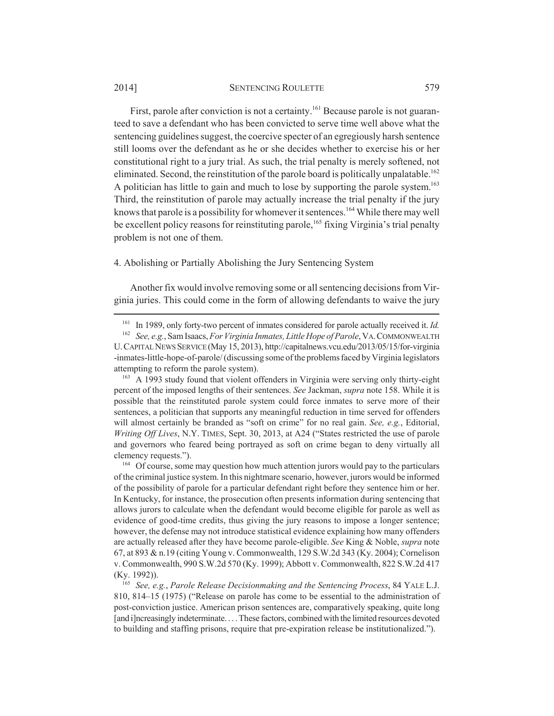#### 2014] SENTENCING ROULETTE 579

First, parole after conviction is not a certainty.<sup>161</sup> Because parole is not guaranteed to save a defendant who has been convicted to serve time well above what the sentencing guidelines suggest, the coercive specter of an egregiously harsh sentence still looms over the defendant as he or she decides whether to exercise his or her constitutional right to a jury trial. As such, the trial penalty is merely softened, not eliminated. Second, the reinstitution of the parole board is politically unpalatable.<sup>162</sup> A politician has little to gain and much to lose by supporting the parole system.<sup>163</sup> Third, the reinstitution of parole may actually increase the trial penalty if the jury knows that parole is a possibility for whomever it sentences.<sup>164</sup> While there may well be excellent policy reasons for reinstituting parole,<sup>165</sup> fixing Virginia's trial penalty problem is not one of them.

## 4. Abolishing or Partially Abolishing the Jury Sentencing System

Another fix would involve removing some or all sentencing decisions from Virginia juries. This could come in the form of allowing defendants to waive the jury

<sup>163</sup> A 1993 study found that violent offenders in Virginia were serving only thirty-eight percent of the imposed lengths of their sentences. *See* Jackman, *supra* note 158. While it is possible that the reinstituted parole system could force inmates to serve more of their sentences, a politician that supports any meaningful reduction in time served for offenders will almost certainly be branded as "soft on crime" for no real gain. *See, e.g.*, Editorial, *Writing Off Lives*, N.Y. TIMES, Sept. 30, 2013, at A24 ("States restricted the use of parole and governors who feared being portrayed as soft on crime began to deny virtually all clemency requests.").

<sup>164</sup> Of course, some may question how much attention jurors would pay to the particulars of the criminal justice system. In this nightmare scenario, however, jurors would be informed of the possibility of parole for a particular defendant right before they sentence him or her. In Kentucky, for instance, the prosecution often presents information during sentencing that allows jurors to calculate when the defendant would become eligible for parole as well as evidence of good-time credits, thus giving the jury reasons to impose a longer sentence; however, the defense may not introduce statistical evidence explaining how many offenders are actually released after they have become parole-eligible. *See* King & Noble, *supra* note 67, at 893 & n.19 (citing Young v. Commonwealth, 129 S.W.2d 343 (Ky. 2004); Cornelison v. Commonwealth, 990 S.W.2d 570 (Ky. 1999); Abbott v. Commonwealth, 822 S.W.2d 417 (Ky. 1992)).

<sup>165</sup> *See, e.g.*, *Parole Release Decisionmaking and the Sentencing Process*, 84 YALE L.J. 810, 814–15 (1975) ("Release on parole has come to be essential to the administration of post-conviction justice. American prison sentences are, comparatively speaking, quite long [and i]ncreasingly indeterminate....These factors, combined with the limited resources devoted to building and staffing prisons, require that pre-expiration release be institutionalized.").

<sup>161</sup> In 1989, only forty-two percent of inmates considered for parole actually received it. *Id.*

<sup>162</sup> *See, e.g.*, Sam Isaacs, *For Virginia Inmates, Little Hope of Parole*, VA.COMMONWEALTH U.CAPITAL NEWS SERVICE (May 15, 2013), http://capitalnews.vcu.edu/2013/05/15/for-virginia -inmates-little-hope-of-parole/ (discussing some of the problems faced by Virginia legislators attempting to reform the parole system).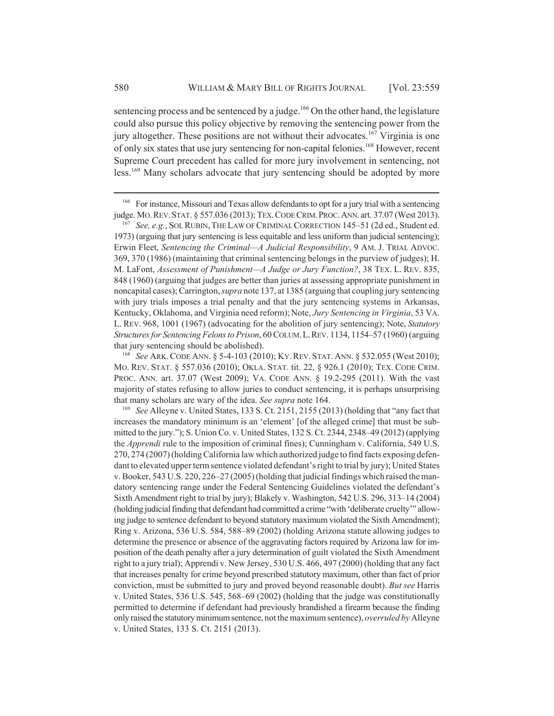sentencing process and be sentenced by a judge.<sup>166</sup> On the other hand, the legislature could also pursue this policy objective by removing the sentencing power from the jury altogether. These positions are not without their advocates.<sup>167</sup> Virginia is one of only six states that use jury sentencing for non-capital felonies.168 However, recent Supreme Court precedent has called for more jury involvement in sentencing, not less.<sup>169</sup> Many scholars advocate that jury sentencing should be adopted by more

<sup>&</sup>lt;sup>166</sup> For instance, Missouri and Texas allow defendants to opt for a jury trial with a sentencing judge. MO.REV.STAT. § 557.036 (2013); TEX.CODE CRIM.PROC.ANN. art. 37.07 (West 2013).

<sup>167</sup> *See, e.g.*, SOL RUBIN,THE LAW OF CRIMINAL CORRECTION 145–51 (2d ed., Student ed. 1973) (arguing that jury sentencing is less equitable and less uniform than judicial sentencing); Erwin Fleet, *Sentencing the Criminal—A Judicial Responsibility*, 9 AM. J. TRIAL ADVOC. 369, 370 (1986) (maintaining that criminal sentencing belongs in the purview of judges); H. M. LaFont, *Assessment of Punishment—A Judge or Jury Function?*, 38 TEX. L. REV. 835, 848 (1960) (arguing that judges are better than juries at assessing appropriate punishment in noncapital cases); Carrington, *supra* note 137, at 1385 (arguing that coupling jury sentencing with jury trials imposes a trial penalty and that the jury sentencing systems in Arkansas, Kentucky, Oklahoma, and Virginia need reform); Note, *Jury Sentencing in Virginia*, 53 VA. L. REV. 968, 1001 (1967) (advocating for the abolition of jury sentencing); Note, *Statutory Structures for Sentencing Felons to Prison*, 60 COLUM.L.REV. 1134, 1154–57 (1960) (arguing that jury sentencing should be abolished).

<sup>168</sup> *See* ARK.CODE ANN. § 5-4-103 (2010); KY.REV. STAT. ANN. § 532.055 (West 2010); MO. REV. STAT. § 557.036 (2010); OKLA. STAT. tit. 22, § 926.1 (2010); TEX. CODE CRIM. PROC. ANN. art. 37.07 (West 2009); VA. CODE ANN. § 19.2-295 (2011). With the vast majority of states refusing to allow juries to conduct sentencing, it is perhaps unsurprising that many scholars are wary of the idea. *See supra* note 164.

<sup>169</sup> *See* Alleyne v. United States, 133 S. Ct. 2151, 2155 (2013) (holding that "any fact that increases the mandatory minimum is an 'element' [of the alleged crime] that must be submitted to the jury."); S. Union Co. v. United States, 132 S. Ct. 2344, 2348–49 (2012) (applying the *Apprendi* rule to the imposition of criminal fines); Cunningham v. California, 549 U.S. 270, 274 (2007) (holding California law which authorized judge to find facts exposing defendant to elevated upper term sentence violated defendant's right to trial by jury); United States v. Booker, 543 U.S. 220, 226–27 (2005) (holding that judicial findings which raised the mandatory sentencing range under the Federal Sentencing Guidelines violated the defendant's Sixth Amendment right to trial by jury); Blakely v. Washington, 542 U.S. 296, 313–14 (2004) (holding judicial finding that defendant had committed a crime "with 'deliberate cruelty'" allowing judge to sentence defendant to beyond statutory maximum violated the Sixth Amendment); Ring v. Arizona, 536 U.S. 584, 588–89 (2002) (holding Arizona statute allowing judges to determine the presence or absence of the aggravating factors required by Arizona law for imposition of the death penalty after a jury determination of guilt violated the Sixth Amendment right to a jury trial); Apprendi v. New Jersey, 530 U.S. 466, 497 (2000) (holding that any fact that increases penalty for crime beyond prescribed statutory maximum, other than fact of prior conviction, must be submitted to jury and proved beyond reasonable doubt). *But see* Harris v. United States, 536 U.S. 545, 568–69 (2002) (holding that the judge was constitutionally permitted to determine if defendant had previously brandished a firearm because the finding only raised the statutory minimum sentence, not the maximum sentence), *overruled by* Alleyne v. United States, 133 S. Ct. 2151 (2013).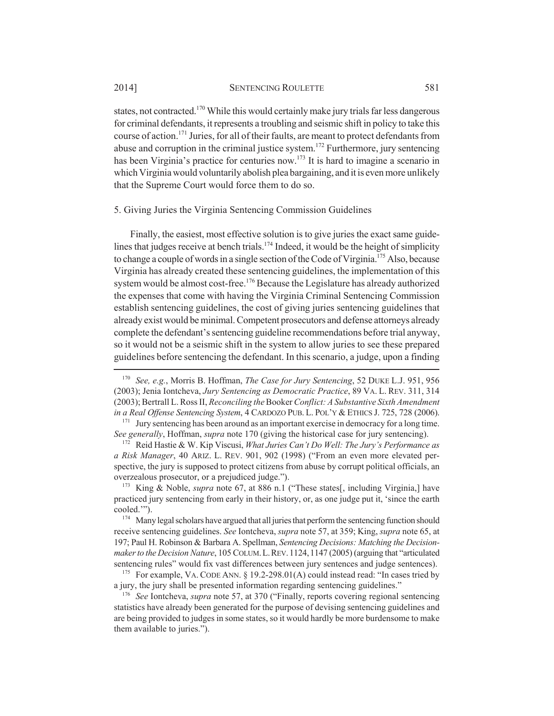states, not contracted.<sup>170</sup> While this would certainly make jury trials far less dangerous for criminal defendants, it represents a troubling and seismic shift in policy to take this course of action.171 Juries, for all of their faults, are meant to protect defendants from abuse and corruption in the criminal justice system.172 Furthermore, jury sentencing has been Virginia's practice for centuries now.<sup>173</sup> It is hard to imagine a scenario in which Virginia would voluntarily abolish plea bargaining, and it is even more unlikely that the Supreme Court would force them to do so.

#### 5. Giving Juries the Virginia Sentencing Commission Guidelines

Finally, the easiest, most effective solution is to give juries the exact same guidelines that judges receive at bench trials.<sup>174</sup> Indeed, it would be the height of simplicity to change a couple of words in a single section of the Code of Virginia.<sup>175</sup> Also, because Virginia has already created these sentencing guidelines, the implementation of this system would be almost cost-free.<sup>176</sup> Because the Legislature has already authorized the expenses that come with having the Virginia Criminal Sentencing Commission establish sentencing guidelines, the cost of giving juries sentencing guidelines that already exist would be minimal. Competent prosecutors and defense attorneys already complete the defendant's sentencing guideline recommendations before trial anyway, so it would not be a seismic shift in the system to allow juries to see these prepared guidelines before sentencing the defendant. In this scenario, a judge, upon a finding

<sup>170</sup> *See, e.g.*, Morris B. Hoffman, *The Case for Jury Sentencing*, 52 DUKE L.J. 951, 956 (2003); Jenia Iontcheva, *Jury Sentencing as Democratic Practice*, 89 VA. L. REV. 311, 314 (2003); Bertrall L. Ross II, *Reconciling the* Booker *Conflict: A Substantive Sixth Amendment in a Real Offense Sentencing System*, 4 CARDOZO PUB. L. POL'Y & ETHICS J. 725, 728 (2006).

<sup>&</sup>lt;sup>171</sup> Jury sentencing has been around as an important exercise in democracy for a long time. *See generally*, Hoffman, *supra* note 170 (giving the historical case for jury sentencing).

<sup>172</sup> Reid Hastie & W. Kip Viscusi, *What Juries Can't Do Well: The Jury's Performance as a Risk Manager*, 40 ARIZ. L. REV. 901, 902 (1998) ("From an even more elevated perspective, the jury is supposed to protect citizens from abuse by corrupt political officials, an overzealous prosecutor, or a prejudiced judge.").

<sup>173</sup> King & Noble, *supra* note 67, at 886 n.1 ("These states[, including Virginia,] have practiced jury sentencing from early in their history, or, as one judge put it, 'since the earth cooled.'").

<sup>&</sup>lt;sup>174</sup> Many legal scholars have argued that all juries that perform the sentencing function should receive sentencing guidelines. *See* Iontcheva, *supra* note 57, at 359; King, *supra* note 65, at 197; Paul H. Robinson & Barbara A. Spellman, *Sentencing Decisions: Matching the Decisionmaker to the Decision Nature*, 105 COLUM.L.REV.1124,1147 (2005) (arguing that "articulated sentencing rules" would fix vast differences between jury sentences and judge sentences).

<sup>175</sup> For example, VA. CODE ANN. § 19.2-298.01(A) could instead read: "In cases tried by a jury, the jury shall be presented information regarding sentencing guidelines."

<sup>176</sup> *See* Iontcheva, *supra* note 57, at 370 ("Finally, reports covering regional sentencing statistics have already been generated for the purpose of devising sentencing guidelines and are being provided to judges in some states, so it would hardly be more burdensome to make them available to juries.").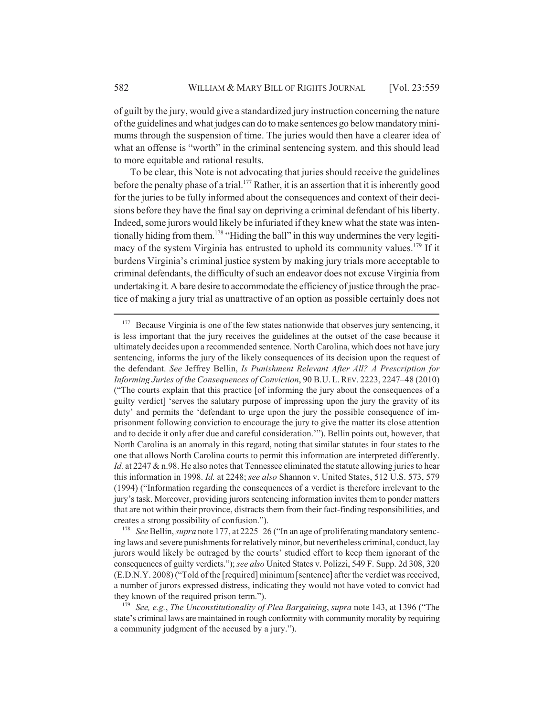of guilt by the jury, would give a standardized jury instruction concerning the nature of the guidelines and what judges can do to make sentences go below mandatory minimums through the suspension of time. The juries would then have a clearer idea of what an offense is "worth" in the criminal sentencing system, and this should lead to more equitable and rational results.

To be clear, this Note is not advocating that juries should receive the guidelines before the penalty phase of a trial.<sup>177</sup> Rather, it is an assertion that it is inherently good for the juries to be fully informed about the consequences and context of their decisions before they have the final say on depriving a criminal defendant of his liberty. Indeed, some jurors would likely be infuriated if they knew what the state was intentionally hiding from them.<sup>178</sup> "Hiding the ball" in this way undermines the very legitimacy of the system Virginia has entrusted to uphold its community values.<sup>179</sup> If it burdens Virginia's criminal justice system by making jury trials more acceptable to criminal defendants, the difficulty of such an endeavor does not excuse Virginia from undertaking it. A bare desire to accommodate the efficiency of justice through the practice of making a jury trial as unattractive of an option as possible certainly does not

 $177$  Because Virginia is one of the few states nationwide that observes jury sentencing, it is less important that the jury receives the guidelines at the outset of the case because it ultimately decides upon a recommended sentence. North Carolina, which does not have jury sentencing, informs the jury of the likely consequences of its decision upon the request of the defendant. *See* Jeffrey Bellin, *Is Punishment Relevant After All? A Prescription for Informing Juries of the Consequences of Conviction*, 90 B.U.L.REV. 2223, 2247–48 (2010) ("The courts explain that this practice [of informing the jury about the consequences of a guilty verdict] 'serves the salutary purpose of impressing upon the jury the gravity of its duty' and permits the 'defendant to urge upon the jury the possible consequence of imprisonment following conviction to encourage the jury to give the matter its close attention and to decide it only after due and careful consideration.'"). Bellin points out, however, that North Carolina is an anomaly in this regard, noting that similar statutes in four states to the one that allows North Carolina courts to permit this information are interpreted differently. *Id.* at 2247 & n.98. He also notes that Tennessee eliminated the statute allowing juries to hear this information in 1998. *Id.* at 2248; *see also* Shannon v. United States, 512 U.S. 573, 579 (1994) ("Information regarding the consequences of a verdict is therefore irrelevant to the jury's task. Moreover, providing jurors sentencing information invites them to ponder matters that are not within their province, distracts them from their fact-finding responsibilities, and creates a strong possibility of confusion.").

<sup>178</sup> *See* Bellin, *supra* note 177, at 2225–26 ("In an age of proliferating mandatory sentencing laws and severe punishments for relatively minor, but nevertheless criminal, conduct, lay jurors would likely be outraged by the courts' studied effort to keep them ignorant of the consequences of guilty verdicts."); *see also* United States v. Polizzi, 549 F. Supp. 2d 308, 320 (E.D.N.Y. 2008) ("Told of the [required] minimum [sentence] after the verdict was received, a number of jurors expressed distress, indicating they would not have voted to convict had they known of the required prison term.").

<sup>179</sup> *See, e.g.*, *The Unconstitutionality of Plea Bargaining*, *supra* note 143, at 1396 ("The state's criminal laws are maintained in rough conformity with community morality by requiring a community judgment of the accused by a jury.").